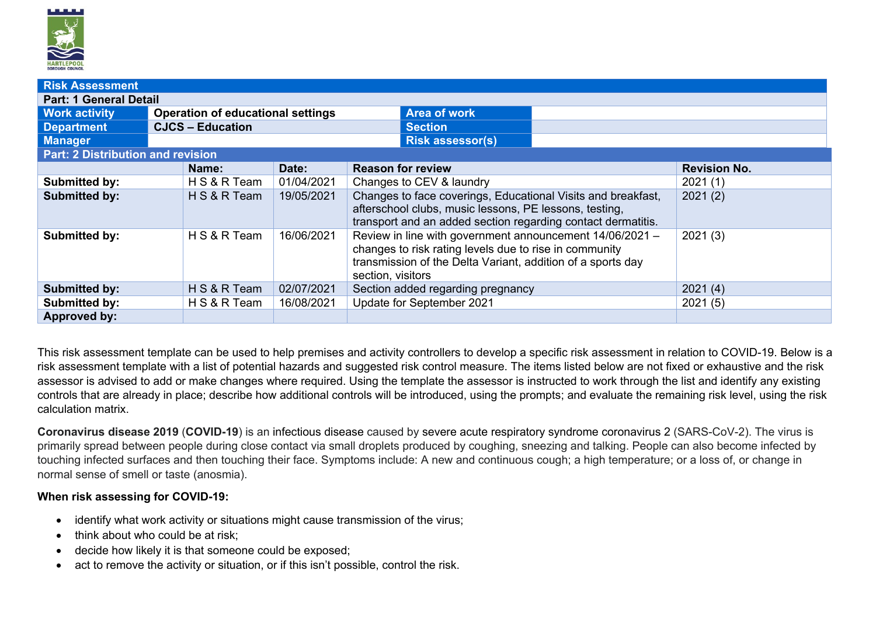

| <b>Risk Assessment</b>                   |                                          |            |                                                                                                                                                                                                        |                     |  |  |  |  |  |
|------------------------------------------|------------------------------------------|------------|--------------------------------------------------------------------------------------------------------------------------------------------------------------------------------------------------------|---------------------|--|--|--|--|--|
| <b>Part: 1 General Detail</b>            |                                          |            |                                                                                                                                                                                                        |                     |  |  |  |  |  |
| <b>Work activity</b>                     | <b>Operation of educational settings</b> |            | <b>Area of work</b>                                                                                                                                                                                    |                     |  |  |  |  |  |
| <b>Department</b>                        | <b>CJCS - Education</b>                  |            | <b>Section</b>                                                                                                                                                                                         |                     |  |  |  |  |  |
| <b>Manager</b>                           |                                          |            | <b>Risk assessor(s)</b>                                                                                                                                                                                |                     |  |  |  |  |  |
| <b>Part: 2 Distribution and revision</b> |                                          |            |                                                                                                                                                                                                        |                     |  |  |  |  |  |
|                                          | Name:                                    | Date:      | <b>Reason for review</b>                                                                                                                                                                               | <b>Revision No.</b> |  |  |  |  |  |
| <b>Submitted by:</b>                     | H S & R Team                             | 01/04/2021 | Changes to CEV & laundry                                                                                                                                                                               | 2021(1)             |  |  |  |  |  |
| <b>Submitted by:</b>                     | H S & R Team                             | 19/05/2021 | Changes to face coverings, Educational Visits and breakfast,<br>afterschool clubs, music lessons, PE lessons, testing,<br>transport and an added section regarding contact dermatitis.                 | 2021(2)             |  |  |  |  |  |
| <b>Submitted by:</b>                     | H S & R Team                             | 16/06/2021 | Review in line with government announcement 14/06/2021 -<br>changes to risk rating levels due to rise in community<br>transmission of the Delta Variant, addition of a sports day<br>section, visitors | 2021(3)             |  |  |  |  |  |
| <b>Submitted by:</b>                     | H S & R Team                             | 02/07/2021 | Section added regarding pregnancy                                                                                                                                                                      | 2021(4)             |  |  |  |  |  |
| <b>Submitted by:</b>                     | H S & R Team                             | 16/08/2021 | Update for September 2021                                                                                                                                                                              | 2021(5)             |  |  |  |  |  |
| <b>Approved by:</b>                      |                                          |            |                                                                                                                                                                                                        |                     |  |  |  |  |  |

This risk assessment template can be used to help premises and activity controllers to develop a specific risk assessment in relation to COVID-19. Below is a risk assessment template with a list of potential hazards and suggested risk control measure. The items listed below are not fixed or exhaustive and the risk assessor is advised to add or make changes where required. Using the template the assessor is instructed to work through the list and identify any existing controls that are already in place; describe how additional controls will be introduced, using the prompts; and evaluate the remaining risk level, using the risk calculation matrix.

**Coronavirus disease 2019** (**COVID-19**) is an infectious disease caused by severe acute respiratory syndrome coronavirus 2 (SARS-CoV-2). The virus is primarily spread between people during close contact via small droplets produced by coughing, sneezing and talking. People can also become infected by touching infected surfaces and then touching their face. Symptoms include: A new and continuous cough; a high temperature; or a loss of, or change in normal sense of smell or taste (anosmia).

## **When risk assessing for COVID-19:**

- identify what work activity or situations might cause transmission of the virus;
- think about who could be at risk:
- decide how likely it is that someone could be exposed;
- act to remove the activity or situation, or if this isn't possible, control the risk.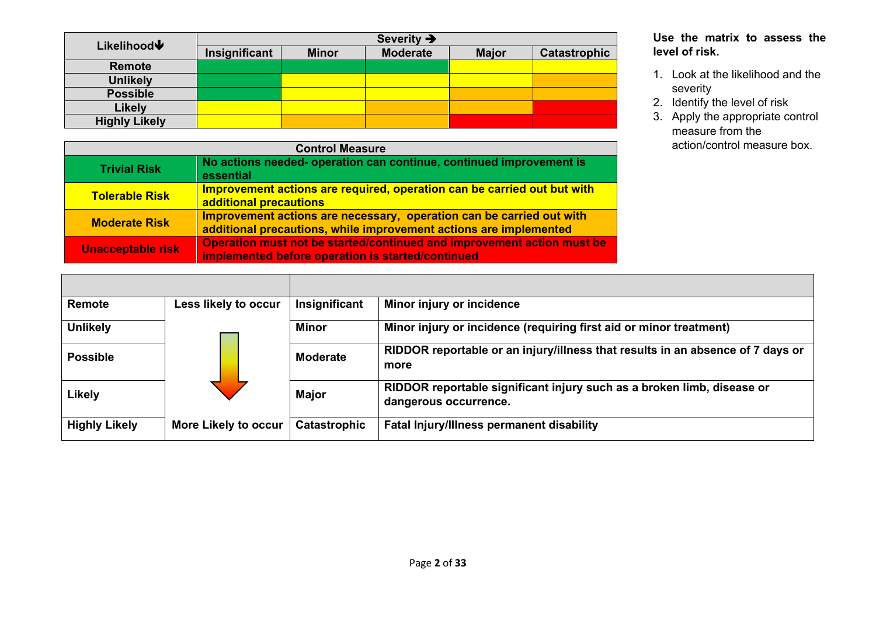| Likelihood↓          | Severity $\rightarrow$ |              |                 |              |              |  |  |  |  |
|----------------------|------------------------|--------------|-----------------|--------------|--------------|--|--|--|--|
|                      | Insignificant          | <b>Minor</b> | <b>Moderate</b> | <b>Major</b> | Catastrophic |  |  |  |  |
| <b>Remote</b>        |                        |              |                 |              |              |  |  |  |  |
| <b>Unlikely</b>      |                        |              |                 |              |              |  |  |  |  |
| <b>Possible</b>      |                        |              |                 |              |              |  |  |  |  |
| Likely               |                        |              |                 |              |              |  |  |  |  |
| <b>Highly Likely</b> |                        |              |                 |              |              |  |  |  |  |

|                          | <b>Control Measure</b>                                                                                                                    |  |  |  |  |  |  |
|--------------------------|-------------------------------------------------------------------------------------------------------------------------------------------|--|--|--|--|--|--|
| <b>Trivial Risk</b>      | No actions needed- operation can continue, continued improvement is<br>essential                                                          |  |  |  |  |  |  |
| <b>Tolerable Risk</b>    | Improvement actions are required, operation can be carried out but with<br>additional precautions                                         |  |  |  |  |  |  |
| <b>Moderate Risk</b>     | Improvement actions are necessary, operation can be carried out with<br>additional precautions, while improvement actions are implemented |  |  |  |  |  |  |
| <b>Unacceptable risk</b> | Operation must not be started/continued and improvement action must be<br>implemented before operation is started/continued               |  |  |  |  |  |  |

## **Use the matrix to assess the level of risk.**

- 1. Look at the likelihood and the severity
- 2. Identify the level of risk
- 3. Apply the appropriate control measure from the action/control measure box.

| Remote               | Less likely to occur        | Insignificant       | Minor injury or incidence                                                                       |
|----------------------|-----------------------------|---------------------|-------------------------------------------------------------------------------------------------|
| <b>Unlikely</b>      |                             | <b>Minor</b>        | Minor injury or incidence (requiring first aid or minor treatment)                              |
| <b>Possible</b>      |                             | <b>Moderate</b>     | RIDDOR reportable or an injury/illness that results in an absence of 7 days or<br>more          |
| <b>Likely</b>        |                             | <b>Major</b>        | RIDDOR reportable significant injury such as a broken limb, disease or<br>dangerous occurrence. |
| <b>Highly Likely</b> | <b>More Likely to occur</b> | <b>Catastrophic</b> | <b>Fatal Injury/Illness permanent disability</b>                                                |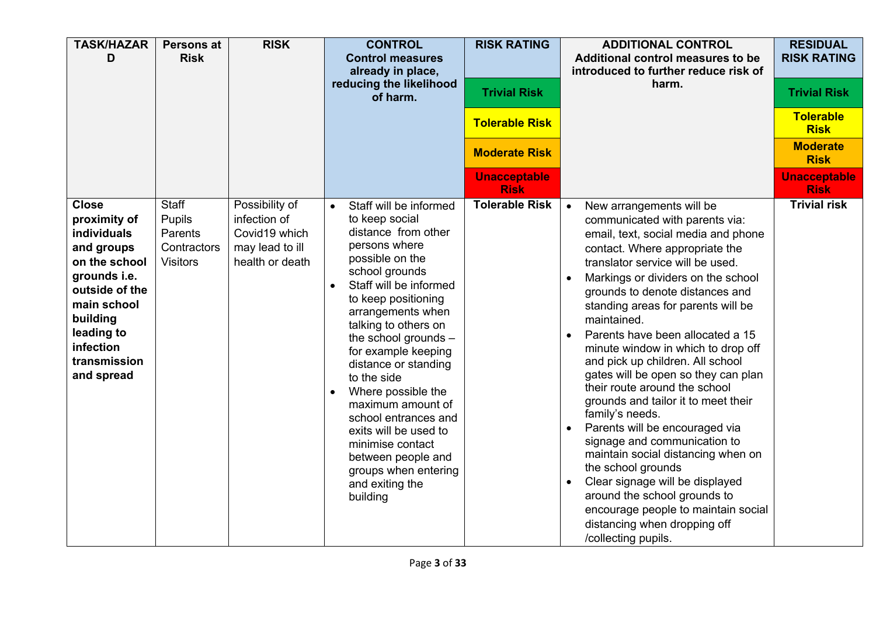| <b>TASK/HAZAR</b><br>D                                                                                                                                                                           | <b>Persons at</b><br><b>Risk</b>                                    | <b>RISK</b>                                                                           | <b>CONTROL</b><br><b>Control measures</b><br>already in place,<br>reducing the likelihood<br>of harm.                                                                                                                                                                                                                                                                                                                                                                                                                            | <b>RISK RATING</b><br><b>Trivial Risk</b><br><b>Tolerable Risk</b><br><b>Moderate Risk</b><br><b>Unacceptable</b><br><b>Risk</b> | <b>ADDITIONAL CONTROL</b><br><b>Additional control measures to be</b><br>introduced to further reduce risk of<br>harm.                                                                                                                                                                                                                                                                                                                                                                                                                                                                                                                                                                                                                                                                                                                                                                                   | <b>RESIDUAL</b><br><b>RISK RATING</b><br><b>Trivial Risk</b><br><b>Tolerable</b><br><b>Risk</b><br><b>Moderate</b><br><b>Risk</b><br><b>Unacceptable</b><br><b>Risk</b> |
|--------------------------------------------------------------------------------------------------------------------------------------------------------------------------------------------------|---------------------------------------------------------------------|---------------------------------------------------------------------------------------|----------------------------------------------------------------------------------------------------------------------------------------------------------------------------------------------------------------------------------------------------------------------------------------------------------------------------------------------------------------------------------------------------------------------------------------------------------------------------------------------------------------------------------|----------------------------------------------------------------------------------------------------------------------------------|----------------------------------------------------------------------------------------------------------------------------------------------------------------------------------------------------------------------------------------------------------------------------------------------------------------------------------------------------------------------------------------------------------------------------------------------------------------------------------------------------------------------------------------------------------------------------------------------------------------------------------------------------------------------------------------------------------------------------------------------------------------------------------------------------------------------------------------------------------------------------------------------------------|-------------------------------------------------------------------------------------------------------------------------------------------------------------------------|
| <b>Close</b><br>proximity of<br>individuals<br>and groups<br>on the school<br>grounds i.e.<br>outside of the<br>main school<br>building<br>leading to<br>infection<br>transmission<br>and spread | <b>Staff</b><br>Pupils<br>Parents<br>Contractors<br><b>Visitors</b> | Possibility of<br>infection of<br>Covid19 which<br>may lead to ill<br>health or death | Staff will be informed<br>$\bullet$<br>to keep social<br>distance from other<br>persons where<br>possible on the<br>school grounds<br>Staff will be informed<br>$\bullet$<br>to keep positioning<br>arrangements when<br>talking to others on<br>the school grounds -<br>for example keeping<br>distance or standing<br>to the side<br>Where possible the<br>maximum amount of<br>school entrances and<br>exits will be used to<br>minimise contact<br>between people and<br>groups when entering<br>and exiting the<br>building | <b>Tolerable Risk</b>                                                                                                            | New arrangements will be<br>$\bullet$<br>communicated with parents via:<br>email, text, social media and phone<br>contact. Where appropriate the<br>translator service will be used.<br>Markings or dividers on the school<br>$\bullet$<br>grounds to denote distances and<br>standing areas for parents will be<br>maintained.<br>Parents have been allocated a 15<br>minute window in which to drop off<br>and pick up children. All school<br>gates will be open so they can plan<br>their route around the school<br>grounds and tailor it to meet their<br>family's needs.<br>Parents will be encouraged via<br>$\bullet$<br>signage and communication to<br>maintain social distancing when on<br>the school grounds<br>Clear signage will be displayed<br>$\bullet$<br>around the school grounds to<br>encourage people to maintain social<br>distancing when dropping off<br>/collecting pupils. | <b>Trivial risk</b>                                                                                                                                                     |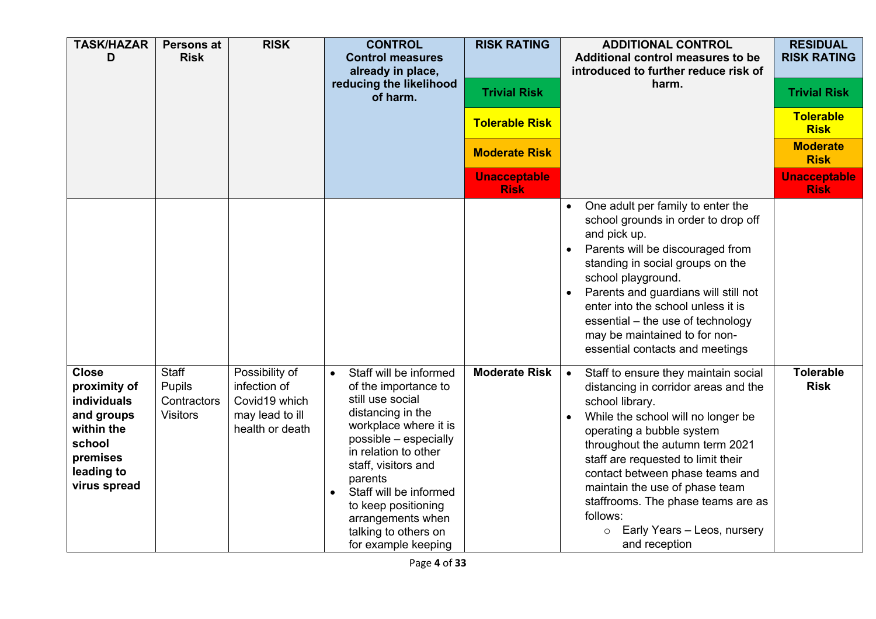| <b>TASK/HAZAR</b><br>D                                                                                                             | <b>Persons at</b><br><b>Risk</b>                         | <b>RISK</b>                                                                           | <b>CONTROL</b><br><b>Control measures</b><br>already in place,<br>reducing the likelihood<br>of harm.                                                                                                                                                                                                                    | <b>RISK RATING</b><br><b>Trivial Risk</b><br><b>Tolerable Risk</b><br><b>Moderate Risk</b><br><b>Unacceptable</b><br><b>Risk</b> | <b>ADDITIONAL CONTROL</b><br>Additional control measures to be<br>introduced to further reduce risk of<br>harm.                                                                                                                                                                                                                                                                                                                            | <b>RESIDUAL</b><br><b>RISK RATING</b><br><b>Trivial Risk</b><br><b>Tolerable</b><br><b>Risk</b><br><b>Moderate</b><br><b>Risk</b><br><b>Unacceptable</b><br><b>Risk</b> |
|------------------------------------------------------------------------------------------------------------------------------------|----------------------------------------------------------|---------------------------------------------------------------------------------------|--------------------------------------------------------------------------------------------------------------------------------------------------------------------------------------------------------------------------------------------------------------------------------------------------------------------------|----------------------------------------------------------------------------------------------------------------------------------|--------------------------------------------------------------------------------------------------------------------------------------------------------------------------------------------------------------------------------------------------------------------------------------------------------------------------------------------------------------------------------------------------------------------------------------------|-------------------------------------------------------------------------------------------------------------------------------------------------------------------------|
|                                                                                                                                    |                                                          |                                                                                       |                                                                                                                                                                                                                                                                                                                          |                                                                                                                                  | One adult per family to enter the<br>school grounds in order to drop off<br>and pick up.<br>Parents will be discouraged from<br>standing in social groups on the<br>school playground.<br>Parents and guardians will still not<br>enter into the school unless it is<br>essential - the use of technology<br>may be maintained to for non-<br>essential contacts and meetings                                                              |                                                                                                                                                                         |
| <b>Close</b><br>proximity of<br><b>individuals</b><br>and groups<br>within the<br>school<br>premises<br>leading to<br>virus spread | <b>Staff</b><br>Pupils<br>Contractors<br><b>Visitors</b> | Possibility of<br>infection of<br>Covid19 which<br>may lead to ill<br>health or death | Staff will be informed<br>of the importance to<br>still use social<br>distancing in the<br>workplace where it is<br>possible - especially<br>in relation to other<br>staff, visitors and<br>parents<br>Staff will be informed<br>to keep positioning<br>arrangements when<br>talking to others on<br>for example keeping | <b>Moderate Risk</b>                                                                                                             | Staff to ensure they maintain social<br>$\bullet$<br>distancing in corridor areas and the<br>school library.<br>While the school will no longer be<br>operating a bubble system<br>throughout the autumn term 2021<br>staff are requested to limit their<br>contact between phase teams and<br>maintain the use of phase team<br>staffrooms. The phase teams are as<br>follows:<br>Early Years - Leos, nursery<br>$\circ$<br>and reception | <b>Tolerable</b><br><b>Risk</b>                                                                                                                                         |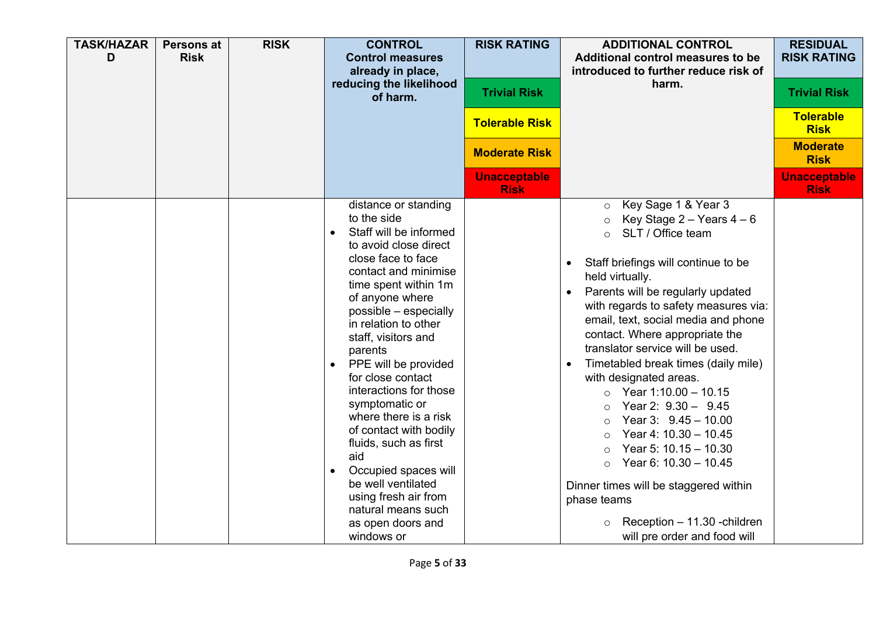| <b>TASK/HAZAR</b><br>D | <b>Persons at</b><br><b>Risk</b> | <b>RISK</b> | <b>CONTROL</b><br><b>Control measures</b><br>already in place,<br>reducing the likelihood<br>of harm.                                                                                                                                                                                                                                                                                                                                                                                                                                                                                      | <b>RISK RATING</b><br><b>Trivial Risk</b><br><b>Tolerable Risk</b><br><b>Moderate Risk</b><br><b>Unacceptable</b> | <b>ADDITIONAL CONTROL</b><br>Additional control measures to be<br>introduced to further reduce risk of<br>harm.                                                                                                                                                                                                                                                                                                                                                                                                                                                                                                                                                                                                                                                                          | <b>RESIDUAL</b><br><b>RISK RATING</b><br><b>Trivial Risk</b><br><b>Tolerable</b><br><b>Risk</b><br><b>Moderate</b><br><b>Risk</b><br><b>Unacceptable</b> |
|------------------------|----------------------------------|-------------|--------------------------------------------------------------------------------------------------------------------------------------------------------------------------------------------------------------------------------------------------------------------------------------------------------------------------------------------------------------------------------------------------------------------------------------------------------------------------------------------------------------------------------------------------------------------------------------------|-------------------------------------------------------------------------------------------------------------------|------------------------------------------------------------------------------------------------------------------------------------------------------------------------------------------------------------------------------------------------------------------------------------------------------------------------------------------------------------------------------------------------------------------------------------------------------------------------------------------------------------------------------------------------------------------------------------------------------------------------------------------------------------------------------------------------------------------------------------------------------------------------------------------|----------------------------------------------------------------------------------------------------------------------------------------------------------|
|                        |                                  |             | distance or standing<br>to the side<br>Staff will be informed<br>to avoid close direct<br>close face to face<br>contact and minimise<br>time spent within 1m<br>of anyone where<br>possible - especially<br>in relation to other<br>staff, visitors and<br>parents<br>PPE will be provided<br>$\bullet$<br>for close contact<br>interactions for those<br>symptomatic or<br>where there is a risk<br>of contact with bodily<br>fluids, such as first<br>aid<br>Occupied spaces will<br>be well ventilated<br>using fresh air from<br>natural means such<br>as open doors and<br>windows or | <b>Risk</b>                                                                                                       | Key Sage 1 & Year 3<br>$\circ$<br>Key Stage $2 -$ Years $4 - 6$<br>$\circ$<br>SLT / Office team<br>$\circ$<br>Staff briefings will continue to be<br>held virtually.<br>Parents will be regularly updated<br>with regards to safety measures via:<br>email, text, social media and phone<br>contact. Where appropriate the<br>translator service will be used.<br>Timetabled break times (daily mile)<br>with designated areas.<br>Year $1:10.00 - 10.15$<br>$\circ$<br>Year 2: $9.30 - 9.45$<br>$\Omega$<br>Year 3: $9.45 - 10.00$<br>$\circ$<br>Year 4: $10.30 - 10.45$<br>$\circ$<br>Year 5: $10.15 - 10.30$<br>$\circ$<br>Year 6: $10.30 - 10.45$<br>$\circ$<br>Dinner times will be staggered within<br>phase teams<br>Reception - 11.30 - children<br>will pre order and food will | <b>Risk</b>                                                                                                                                              |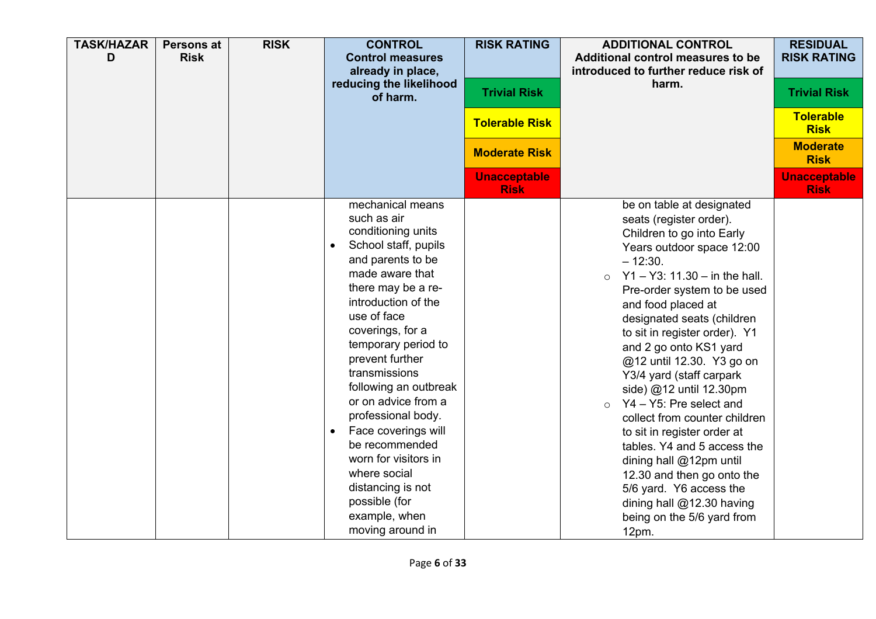| <b>TASK/HAZAR</b><br>D | <b>Persons at</b><br><b>Risk</b> | <b>RISK</b> | <b>CONTROL</b><br><b>Control measures</b><br>already in place,<br>reducing the likelihood<br>of harm.                                                                                                                                                                                                                                                                                                                                                                                              | <b>RISK RATING</b><br><b>Trivial Risk</b><br><b>Tolerable Risk</b><br><b>Moderate Risk</b><br><b>Unacceptable</b><br><b>Risk</b> | <b>ADDITIONAL CONTROL</b><br>Additional control measures to be<br>introduced to further reduce risk of<br>harm.                                                                                                                                                                                                                                                                                                                                                                                                                                                                                                                                                                                              | <b>RESIDUAL</b><br><b>RISK RATING</b><br><b>Trivial Risk</b><br><b>Tolerable</b><br><b>Risk</b><br><b>Moderate</b><br><b>Risk</b><br><b>Unacceptable</b><br><b>Risk</b> |
|------------------------|----------------------------------|-------------|----------------------------------------------------------------------------------------------------------------------------------------------------------------------------------------------------------------------------------------------------------------------------------------------------------------------------------------------------------------------------------------------------------------------------------------------------------------------------------------------------|----------------------------------------------------------------------------------------------------------------------------------|--------------------------------------------------------------------------------------------------------------------------------------------------------------------------------------------------------------------------------------------------------------------------------------------------------------------------------------------------------------------------------------------------------------------------------------------------------------------------------------------------------------------------------------------------------------------------------------------------------------------------------------------------------------------------------------------------------------|-------------------------------------------------------------------------------------------------------------------------------------------------------------------------|
|                        |                                  |             | mechanical means<br>such as air<br>conditioning units<br>School staff, pupils<br>and parents to be<br>made aware that<br>there may be a re-<br>introduction of the<br>use of face<br>coverings, for a<br>temporary period to<br>prevent further<br>transmissions<br>following an outbreak<br>or on advice from a<br>professional body.<br>Face coverings will<br>be recommended<br>worn for visitors in<br>where social<br>distancing is not<br>possible (for<br>example, when<br>moving around in |                                                                                                                                  | be on table at designated<br>seats (register order).<br>Children to go into Early<br>Years outdoor space 12:00<br>$-12:30.$<br>$Y1 - Y3$ : 11.30 – in the hall.<br>$\circ$<br>Pre-order system to be used<br>and food placed at<br>designated seats (children<br>to sit in register order). Y1<br>and 2 go onto KS1 yard<br>@12 until 12.30. Y3 go on<br>Y3/4 yard (staff carpark<br>side) @12 until 12.30pm<br>Y4 - Y5: Pre select and<br>$\circ$<br>collect from counter children<br>to sit in register order at<br>tables. Y4 and 5 access the<br>dining hall @12pm until<br>12.30 and then go onto the<br>5/6 yard. Y6 access the<br>dining hall @12.30 having<br>being on the 5/6 yard from<br>$12pm$ . |                                                                                                                                                                         |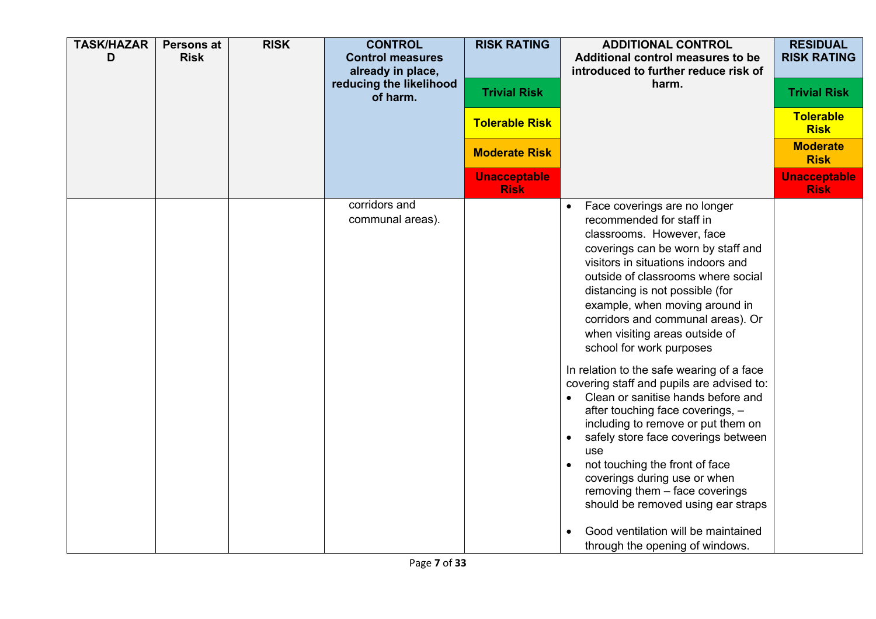| <b>TASK/HAZAR</b><br>D | <b>Persons at</b><br><b>Risk</b> | <b>RISK</b> | <b>CONTROL</b><br><b>Control measures</b><br>already in place,<br>reducing the likelihood<br>of harm. | <b>RISK RATING</b><br><b>Trivial Risk</b><br><b>Tolerable Risk</b> | <b>ADDITIONAL CONTROL</b><br>Additional control measures to be<br>introduced to further reduce risk of<br>harm.                                                                                                                                                                                                                                                                                                                                                                                                                                                                                                                                                                                                                                                                                                                                                                       | <b>RESIDUAL</b><br><b>RISK RATING</b><br><b>Trivial Risk</b><br><b>Tolerable</b><br><b>Risk</b> |
|------------------------|----------------------------------|-------------|-------------------------------------------------------------------------------------------------------|--------------------------------------------------------------------|---------------------------------------------------------------------------------------------------------------------------------------------------------------------------------------------------------------------------------------------------------------------------------------------------------------------------------------------------------------------------------------------------------------------------------------------------------------------------------------------------------------------------------------------------------------------------------------------------------------------------------------------------------------------------------------------------------------------------------------------------------------------------------------------------------------------------------------------------------------------------------------|-------------------------------------------------------------------------------------------------|
|                        |                                  |             |                                                                                                       | <b>Moderate Risk</b>                                               |                                                                                                                                                                                                                                                                                                                                                                                                                                                                                                                                                                                                                                                                                                                                                                                                                                                                                       | <b>Moderate</b><br><b>Risk</b>                                                                  |
|                        |                                  |             |                                                                                                       | <b>Unacceptable</b><br><b>Risk</b>                                 |                                                                                                                                                                                                                                                                                                                                                                                                                                                                                                                                                                                                                                                                                                                                                                                                                                                                                       | <b>Unacceptable</b><br><b>Risk</b>                                                              |
|                        |                                  |             | corridors and<br>communal areas).                                                                     |                                                                    | Face coverings are no longer<br>$\bullet$<br>recommended for staff in<br>classrooms. However, face<br>coverings can be worn by staff and<br>visitors in situations indoors and<br>outside of classrooms where social<br>distancing is not possible (for<br>example, when moving around in<br>corridors and communal areas). Or<br>when visiting areas outside of<br>school for work purposes<br>In relation to the safe wearing of a face<br>covering staff and pupils are advised to:<br>Clean or sanitise hands before and<br>$\bullet$<br>after touching face coverings, -<br>including to remove or put them on<br>safely store face coverings between<br>use<br>not touching the front of face<br>coverings during use or when<br>removing them - face coverings<br>should be removed using ear straps<br>Good ventilation will be maintained<br>through the opening of windows. |                                                                                                 |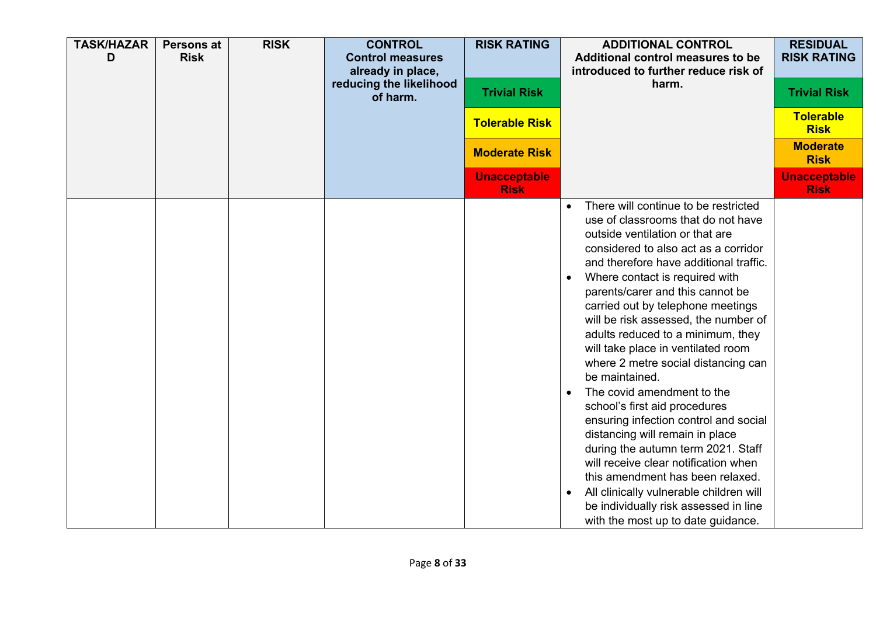| <b>TASK/HAZAR</b><br>D | Persons at<br><b>Risk</b> | <b>RISK</b> | <b>CONTROL</b><br><b>Control measures</b><br>already in place,<br>reducing the likelihood<br>of harm. | <b>RISK RATING</b><br><b>Trivial Risk</b> | <b>ADDITIONAL CONTROL</b><br>Additional control measures to be<br>introduced to further reduce risk of<br>harm.                                                                                                                                                                                                                                                                                                                                                                                                                                                                                                                                                                                                                                                                                                                                                                                                      | <b>RESIDUAL</b><br><b>RISK RATING</b><br><b>Trivial Risk</b><br><b>Tolerable</b> |
|------------------------|---------------------------|-------------|-------------------------------------------------------------------------------------------------------|-------------------------------------------|----------------------------------------------------------------------------------------------------------------------------------------------------------------------------------------------------------------------------------------------------------------------------------------------------------------------------------------------------------------------------------------------------------------------------------------------------------------------------------------------------------------------------------------------------------------------------------------------------------------------------------------------------------------------------------------------------------------------------------------------------------------------------------------------------------------------------------------------------------------------------------------------------------------------|----------------------------------------------------------------------------------|
|                        |                           |             |                                                                                                       | <b>Tolerable Risk</b>                     |                                                                                                                                                                                                                                                                                                                                                                                                                                                                                                                                                                                                                                                                                                                                                                                                                                                                                                                      | <b>Risk</b>                                                                      |
|                        |                           |             |                                                                                                       | <b>Moderate Risk</b>                      |                                                                                                                                                                                                                                                                                                                                                                                                                                                                                                                                                                                                                                                                                                                                                                                                                                                                                                                      | <b>Moderate</b><br><b>Risk</b>                                                   |
|                        |                           |             |                                                                                                       | <b>Unacceptable</b><br><b>Risk</b>        |                                                                                                                                                                                                                                                                                                                                                                                                                                                                                                                                                                                                                                                                                                                                                                                                                                                                                                                      | <b>Unacceptable</b><br><b>Risk</b>                                               |
|                        |                           |             |                                                                                                       |                                           | There will continue to be restricted<br>$\bullet$<br>use of classrooms that do not have<br>outside ventilation or that are<br>considered to also act as a corridor<br>and therefore have additional traffic.<br>Where contact is required with<br>$\bullet$<br>parents/carer and this cannot be<br>carried out by telephone meetings<br>will be risk assessed, the number of<br>adults reduced to a minimum, they<br>will take place in ventilated room<br>where 2 metre social distancing can<br>be maintained.<br>The covid amendment to the<br>school's first aid procedures<br>ensuring infection control and social<br>distancing will remain in place<br>during the autumn term 2021. Staff<br>will receive clear notification when<br>this amendment has been relaxed.<br>All clinically vulnerable children will<br>$\bullet$<br>be individually risk assessed in line<br>with the most up to date guidance. |                                                                                  |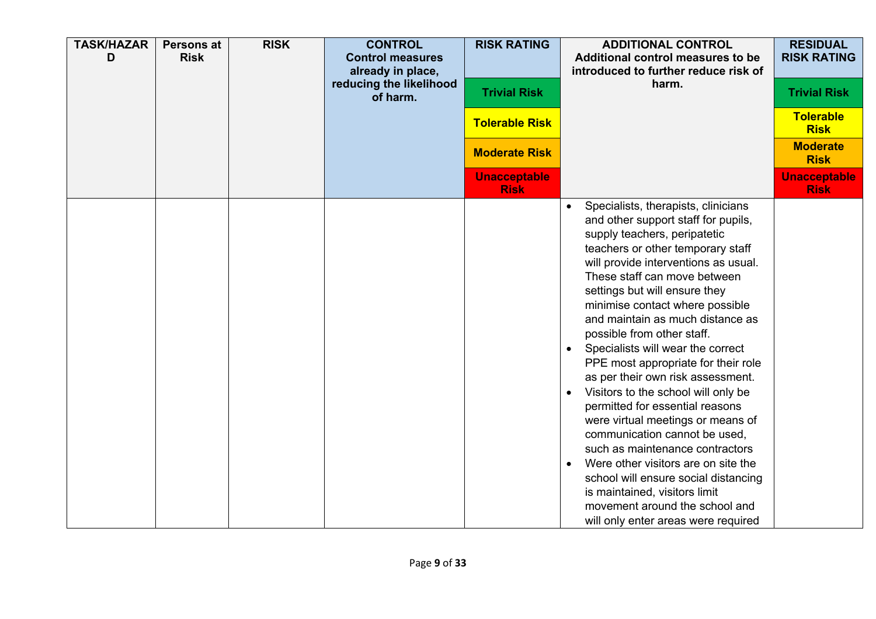| <b>TASK/HAZAR</b><br>D | <b>Persons at</b><br><b>Risk</b> | <b>RISK</b> | <b>CONTROL</b><br><b>Control measures</b><br>already in place,<br>reducing the likelihood<br>of harm. | <b>RISK RATING</b><br><b>Trivial Risk</b><br><b>Tolerable Risk</b><br><b>Moderate Risk</b><br><b>Unacceptable</b> | <b>ADDITIONAL CONTROL</b><br>Additional control measures to be<br>introduced to further reduce risk of<br>harm.                                                                                                                                                                                                                                                                                                                                                                                                                                                                                                                                                                                                                                                                                                                                                         | <b>RESIDUAL</b><br><b>RISK RATING</b><br><b>Trivial Risk</b><br><b>Tolerable</b><br><b>Risk</b><br><b>Moderate</b><br><b>Risk</b><br><b>Unacceptable</b> |
|------------------------|----------------------------------|-------------|-------------------------------------------------------------------------------------------------------|-------------------------------------------------------------------------------------------------------------------|-------------------------------------------------------------------------------------------------------------------------------------------------------------------------------------------------------------------------------------------------------------------------------------------------------------------------------------------------------------------------------------------------------------------------------------------------------------------------------------------------------------------------------------------------------------------------------------------------------------------------------------------------------------------------------------------------------------------------------------------------------------------------------------------------------------------------------------------------------------------------|----------------------------------------------------------------------------------------------------------------------------------------------------------|
|                        |                                  |             |                                                                                                       | <b>Risk</b>                                                                                                       | Specialists, therapists, clinicians<br>$\bullet$<br>and other support staff for pupils,<br>supply teachers, peripatetic<br>teachers or other temporary staff<br>will provide interventions as usual.<br>These staff can move between<br>settings but will ensure they<br>minimise contact where possible<br>and maintain as much distance as<br>possible from other staff.<br>Specialists will wear the correct<br>PPE most appropriate for their role<br>as per their own risk assessment.<br>Visitors to the school will only be<br>permitted for essential reasons<br>were virtual meetings or means of<br>communication cannot be used,<br>such as maintenance contractors<br>Were other visitors are on site the<br>school will ensure social distancing<br>is maintained, visitors limit<br>movement around the school and<br>will only enter areas were required | <b>Risk</b>                                                                                                                                              |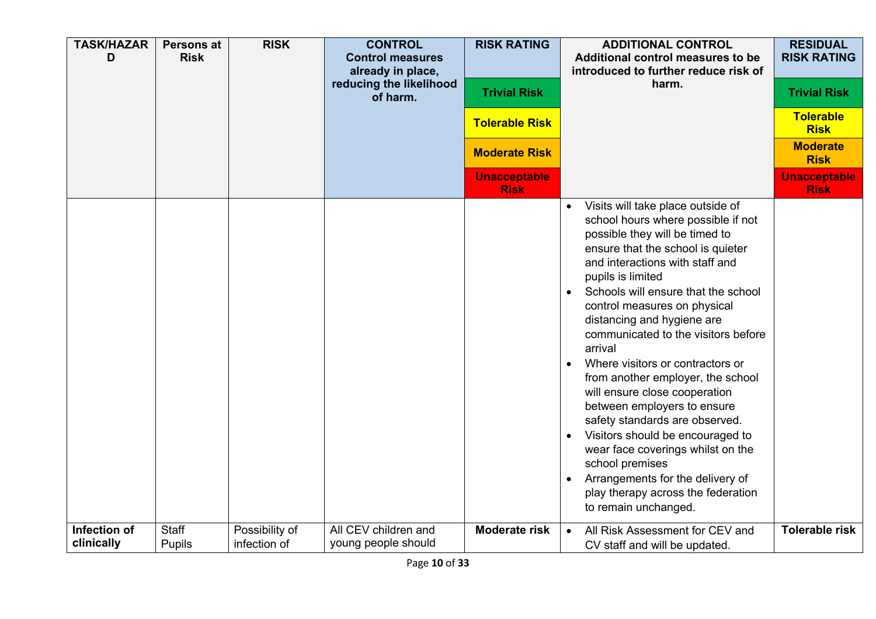| <b>TASK/HAZAR</b><br>D | <b>Persons at</b><br><b>Risk</b> | <b>RISK</b>    | <b>CONTROL</b><br><b>Control measures</b><br>already in place,<br>reducing the likelihood<br>of harm. | <b>RISK RATING</b><br><b>Trivial Risk</b><br><b>Tolerable Risk</b><br><b>Moderate Risk</b><br><b>Unacceptable</b><br><b>Risk</b> | <b>ADDITIONAL CONTROL</b><br>Additional control measures to be<br>introduced to further reduce risk of<br>harm.                                                                                                                                                                                                                                                                                                                                                                                                                                                                                                                                                                                                                                                  | <b>RESIDUAL</b><br><b>RISK RATING</b><br><b>Trivial Risk</b><br><b>Tolerable</b><br><b>Risk</b><br><b>Moderate</b><br><b>Risk</b><br><b>Unacceptable</b><br><b>Risk</b> |
|------------------------|----------------------------------|----------------|-------------------------------------------------------------------------------------------------------|----------------------------------------------------------------------------------------------------------------------------------|------------------------------------------------------------------------------------------------------------------------------------------------------------------------------------------------------------------------------------------------------------------------------------------------------------------------------------------------------------------------------------------------------------------------------------------------------------------------------------------------------------------------------------------------------------------------------------------------------------------------------------------------------------------------------------------------------------------------------------------------------------------|-------------------------------------------------------------------------------------------------------------------------------------------------------------------------|
|                        |                                  |                |                                                                                                       |                                                                                                                                  | Visits will take place outside of<br>$\bullet$<br>school hours where possible if not<br>possible they will be timed to<br>ensure that the school is quieter<br>and interactions with staff and<br>pupils is limited<br>Schools will ensure that the school<br>control measures on physical<br>distancing and hygiene are<br>communicated to the visitors before<br>arrival<br>Where visitors or contractors or<br>from another employer, the school<br>will ensure close cooperation<br>between employers to ensure<br>safety standards are observed.<br>Visitors should be encouraged to<br>wear face coverings whilst on the<br>school premises<br>Arrangements for the delivery of<br>$\bullet$<br>play therapy across the federation<br>to remain unchanged. |                                                                                                                                                                         |
| Infection of           | <b>Staff</b>                     | Possibility of | All CEV children and                                                                                  | <b>Moderate risk</b>                                                                                                             | All Risk Assessment for CEV and<br>$\bullet$                                                                                                                                                                                                                                                                                                                                                                                                                                                                                                                                                                                                                                                                                                                     | <b>Tolerable risk</b>                                                                                                                                                   |
| clinically             | Pupils                           | infection of   | young people should                                                                                   |                                                                                                                                  | CV staff and will be updated.                                                                                                                                                                                                                                                                                                                                                                                                                                                                                                                                                                                                                                                                                                                                    |                                                                                                                                                                         |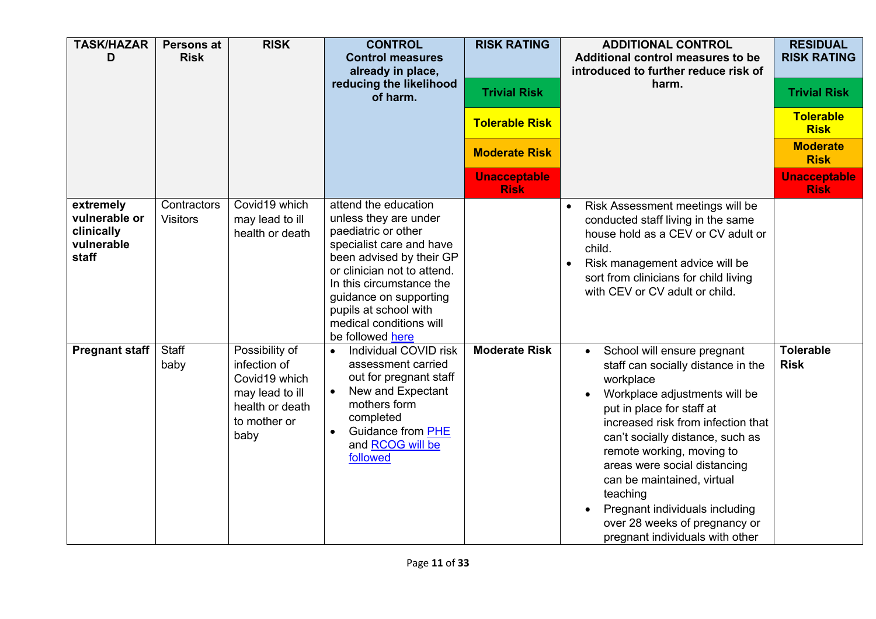| <b>TASK/HAZAR</b><br>D                                          | <b>Persons at</b><br><b>Risk</b> | <b>RISK</b>                                                                                                   | <b>CONTROL</b><br><b>Control measures</b><br>already in place,<br>reducing the likelihood<br>of harm.                                                                                                                                                                                     | <b>RISK RATING</b><br><b>Trivial Risk</b><br><b>Tolerable Risk</b><br><b>Moderate Risk</b><br><b>Unacceptable</b> | <b>ADDITIONAL CONTROL</b><br>Additional control measures to be<br>introduced to further reduce risk of<br>harm.                                                                                                                                                                                                                                                                                                                                  | <b>RESIDUAL</b><br><b>RISK RATING</b><br><b>Trivial Risk</b><br><b>Tolerable</b><br><b>Risk</b><br><b>Moderate</b><br><b>Risk</b><br><b>Unacceptable</b> |
|-----------------------------------------------------------------|----------------------------------|---------------------------------------------------------------------------------------------------------------|-------------------------------------------------------------------------------------------------------------------------------------------------------------------------------------------------------------------------------------------------------------------------------------------|-------------------------------------------------------------------------------------------------------------------|--------------------------------------------------------------------------------------------------------------------------------------------------------------------------------------------------------------------------------------------------------------------------------------------------------------------------------------------------------------------------------------------------------------------------------------------------|----------------------------------------------------------------------------------------------------------------------------------------------------------|
|                                                                 |                                  |                                                                                                               |                                                                                                                                                                                                                                                                                           | <b>Risk</b>                                                                                                       |                                                                                                                                                                                                                                                                                                                                                                                                                                                  | <b>Risk</b>                                                                                                                                              |
| extremely<br>vulnerable or<br>clinically<br>vulnerable<br>staff | Contractors<br><b>Visitors</b>   | Covid19 which<br>may lead to ill<br>health or death                                                           | attend the education<br>unless they are under<br>paediatric or other<br>specialist care and have<br>been advised by their GP<br>or clinician not to attend.<br>In this circumstance the<br>guidance on supporting<br>pupils at school with<br>medical conditions will<br>be followed here |                                                                                                                   | Risk Assessment meetings will be<br>$\bullet$<br>conducted staff living in the same<br>house hold as a CEV or CV adult or<br>child.<br>Risk management advice will be<br>$\bullet$<br>sort from clinicians for child living<br>with CEV or CV adult or child.                                                                                                                                                                                    |                                                                                                                                                          |
| <b>Pregnant staff</b>                                           | Staff<br>baby                    | Possibility of<br>infection of<br>Covid19 which<br>may lead to ill<br>health or death<br>to mother or<br>baby | Individual COVID risk<br>$\bullet$<br>assessment carried<br>out for pregnant staff<br>New and Expectant<br>mothers form<br>completed<br><b>Guidance from PHE</b><br>and RCOG will be<br>followed                                                                                          | <b>Moderate Risk</b>                                                                                              | School will ensure pregnant<br>$\bullet$<br>staff can socially distance in the<br>workplace<br>Workplace adjustments will be<br>put in place for staff at<br>increased risk from infection that<br>can't socially distance, such as<br>remote working, moving to<br>areas were social distancing<br>can be maintained, virtual<br>teaching<br>Pregnant individuals including<br>over 28 weeks of pregnancy or<br>pregnant individuals with other | <b>Tolerable</b><br><b>Risk</b>                                                                                                                          |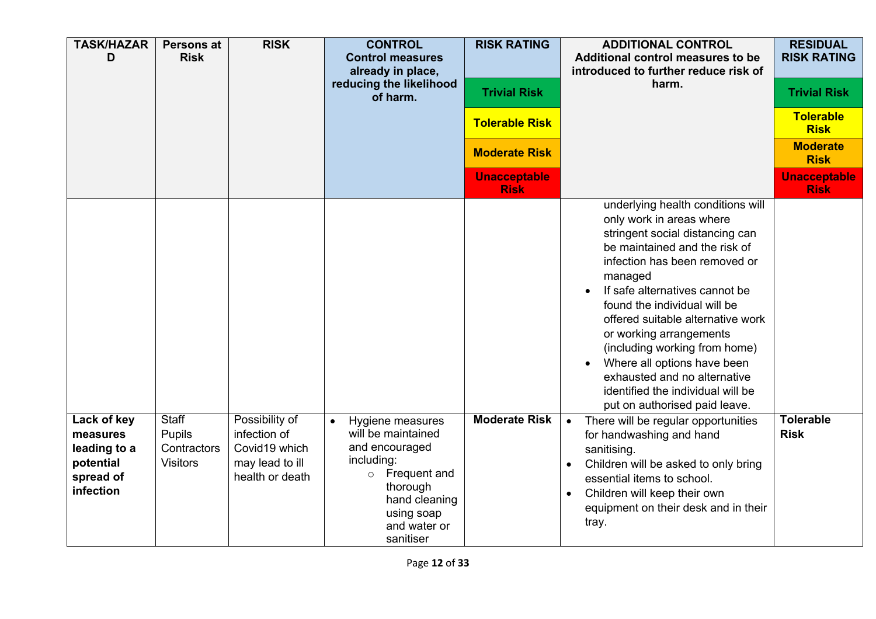| <b>TASK/HAZAR</b><br>D                                                         | <b>Persons at</b><br><b>Risk</b>                         | <b>RISK</b>                                                                           | <b>CONTROL</b><br><b>Control measures</b><br>already in place,<br>reducing the likelihood<br>of harm.                                                                                  | <b>RISK RATING</b><br><b>Trivial Risk</b><br><b>Tolerable Risk</b><br><b>Moderate Risk</b><br><b>Unacceptable</b><br><b>Risk</b> | <b>ADDITIONAL CONTROL</b><br>Additional control measures to be<br>introduced to further reduce risk of<br>harm.                                                                                                                                                                                                                                                                                                                                                                       | <b>RESIDUAL</b><br><b>RISK RATING</b><br><b>Trivial Risk</b><br><b>Tolerable</b><br><b>Risk</b><br><b>Moderate</b><br><b>Risk</b><br><b>Unacceptable</b><br><b>Risk</b> |
|--------------------------------------------------------------------------------|----------------------------------------------------------|---------------------------------------------------------------------------------------|----------------------------------------------------------------------------------------------------------------------------------------------------------------------------------------|----------------------------------------------------------------------------------------------------------------------------------|---------------------------------------------------------------------------------------------------------------------------------------------------------------------------------------------------------------------------------------------------------------------------------------------------------------------------------------------------------------------------------------------------------------------------------------------------------------------------------------|-------------------------------------------------------------------------------------------------------------------------------------------------------------------------|
|                                                                                |                                                          |                                                                                       |                                                                                                                                                                                        |                                                                                                                                  | underlying health conditions will<br>only work in areas where<br>stringent social distancing can<br>be maintained and the risk of<br>infection has been removed or<br>managed<br>If safe alternatives cannot be<br>found the individual will be<br>offered suitable alternative work<br>or working arrangements<br>(including working from home)<br>Where all options have been<br>exhausted and no alternative<br>identified the individual will be<br>put on authorised paid leave. |                                                                                                                                                                         |
| Lack of key<br>measures<br>leading to a<br>potential<br>spread of<br>infection | <b>Staff</b><br>Pupils<br>Contractors<br><b>Visitors</b> | Possibility of<br>infection of<br>Covid19 which<br>may lead to ill<br>health or death | Hygiene measures<br>$\bullet$<br>will be maintained<br>and encouraged<br>including:<br>Frequent and<br>$\circ$<br>thorough<br>hand cleaning<br>using soap<br>and water or<br>sanitiser | <b>Moderate Risk</b>                                                                                                             | There will be regular opportunities<br>$\bullet$<br>for handwashing and hand<br>sanitising.<br>Children will be asked to only bring<br>essential items to school.<br>Children will keep their own<br>equipment on their desk and in their<br>tray.                                                                                                                                                                                                                                    | <b>Tolerable</b><br><b>Risk</b>                                                                                                                                         |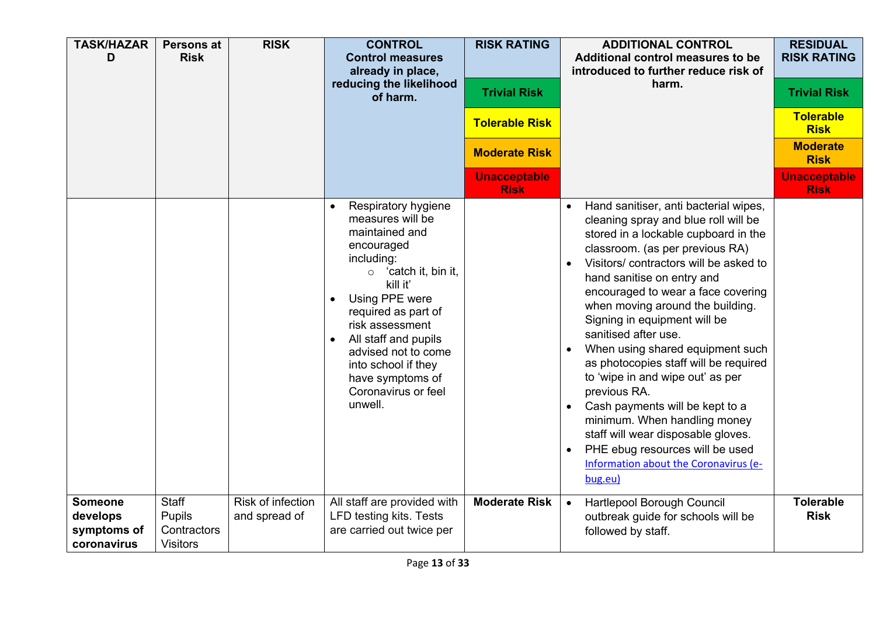| <b>TASK/HAZAR</b><br>D                                   | Persons at<br><b>Risk</b>                         | <b>RISK</b>                        | <b>CONTROL</b><br><b>Control measures</b><br>already in place,<br>reducing the likelihood<br>of harm.                                                                                                                                                                                                                   | <b>RISK RATING</b><br><b>Trivial Risk</b><br><b>Tolerable Risk</b><br><b>Moderate Risk</b><br><b>Unacceptable</b> | <b>ADDITIONAL CONTROL</b><br>Additional control measures to be<br>introduced to further reduce risk of<br>harm.                                                                                                                                                                                                                                                                                                                                                                                                                                                                                                                                                                                    | <b>RESIDUAL</b><br><b>RISK RATING</b><br><b>Trivial Risk</b><br><b>Tolerable</b><br><b>Risk</b><br><b>Moderate</b><br><b>Risk</b><br><b>Unacceptable</b> |
|----------------------------------------------------------|---------------------------------------------------|------------------------------------|-------------------------------------------------------------------------------------------------------------------------------------------------------------------------------------------------------------------------------------------------------------------------------------------------------------------------|-------------------------------------------------------------------------------------------------------------------|----------------------------------------------------------------------------------------------------------------------------------------------------------------------------------------------------------------------------------------------------------------------------------------------------------------------------------------------------------------------------------------------------------------------------------------------------------------------------------------------------------------------------------------------------------------------------------------------------------------------------------------------------------------------------------------------------|----------------------------------------------------------------------------------------------------------------------------------------------------------|
|                                                          |                                                   |                                    | Respiratory hygiene<br>measures will be<br>maintained and<br>encouraged<br>including:<br>$\circ$ 'catch it, bin it,<br>kill it'<br>Using PPE were<br>required as part of<br>risk assessment<br>All staff and pupils<br>advised not to come<br>into school if they<br>have symptoms of<br>Coronavirus or feel<br>unwell. | <b>Risk</b>                                                                                                       | Hand sanitiser, anti bacterial wipes,<br>cleaning spray and blue roll will be<br>stored in a lockable cupboard in the<br>classroom. (as per previous RA)<br>Visitors/contractors will be asked to<br>hand sanitise on entry and<br>encouraged to wear a face covering<br>when moving around the building.<br>Signing in equipment will be<br>sanitised after use.<br>When using shared equipment such<br>as photocopies staff will be required<br>to 'wipe in and wipe out' as per<br>previous RA.<br>Cash payments will be kept to a<br>minimum. When handling money<br>staff will wear disposable gloves.<br>PHE ebug resources will be used<br>Information about the Coronavirus (e-<br>bug.eu) | <b>Risk</b>                                                                                                                                              |
| <b>Someone</b><br>develops<br>symptoms of<br>coronavirus | Staff<br>Pupils<br>Contractors<br><b>Visitors</b> | Risk of infection<br>and spread of | All staff are provided with<br>LFD testing kits. Tests<br>are carried out twice per                                                                                                                                                                                                                                     | <b>Moderate Risk</b>                                                                                              | Hartlepool Borough Council<br>$\bullet$<br>outbreak guide for schools will be<br>followed by staff.                                                                                                                                                                                                                                                                                                                                                                                                                                                                                                                                                                                                | <b>Tolerable</b><br><b>Risk</b>                                                                                                                          |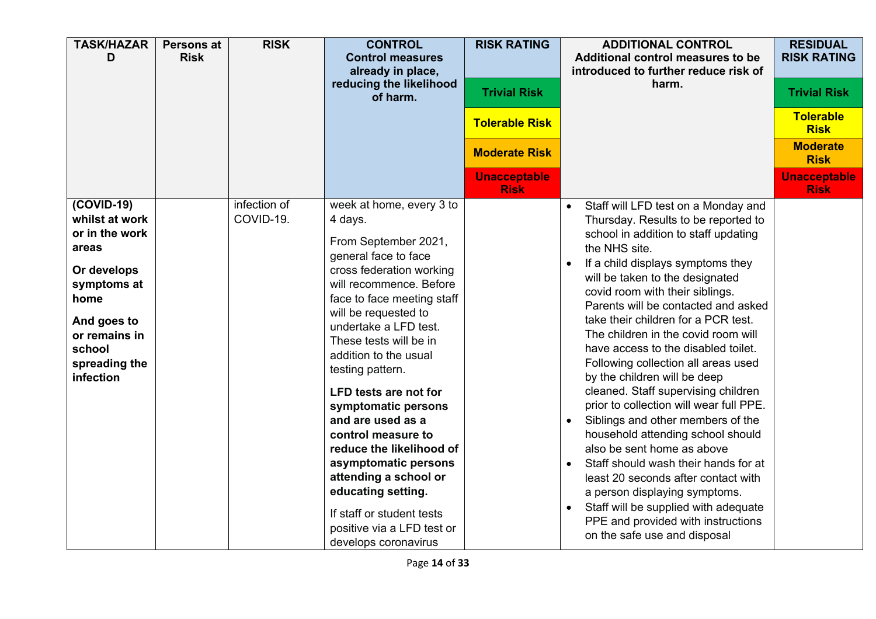| <b>TASK/HAZAR</b><br>D                                                                                                                                                  | <b>Persons at</b><br><b>Risk</b> | <b>RISK</b>               | <b>CONTROL</b><br><b>Control measures</b><br>already in place,<br>reducing the likelihood<br>of harm.                                                                                                                                                                                                                                                                                                                                                                                                                                                                                    | <b>RISK RATING</b><br><b>Trivial Risk</b><br><b>Tolerable Risk</b><br><b>Moderate Risk</b> | <b>ADDITIONAL CONTROL</b><br>Additional control measures to be<br>introduced to further reduce risk of<br>harm.                                                                                                                                                                                                                                                                                                                                                                                                                                                                                                                                                                                                                                                                                                                                                                                                                                               | <b>RESIDUAL</b><br><b>RISK RATING</b><br><b>Trivial Risk</b><br><b>Tolerable</b><br><b>Risk</b><br><b>Moderate</b><br><b>Risk</b> |
|-------------------------------------------------------------------------------------------------------------------------------------------------------------------------|----------------------------------|---------------------------|------------------------------------------------------------------------------------------------------------------------------------------------------------------------------------------------------------------------------------------------------------------------------------------------------------------------------------------------------------------------------------------------------------------------------------------------------------------------------------------------------------------------------------------------------------------------------------------|--------------------------------------------------------------------------------------------|---------------------------------------------------------------------------------------------------------------------------------------------------------------------------------------------------------------------------------------------------------------------------------------------------------------------------------------------------------------------------------------------------------------------------------------------------------------------------------------------------------------------------------------------------------------------------------------------------------------------------------------------------------------------------------------------------------------------------------------------------------------------------------------------------------------------------------------------------------------------------------------------------------------------------------------------------------------|-----------------------------------------------------------------------------------------------------------------------------------|
|                                                                                                                                                                         |                                  |                           |                                                                                                                                                                                                                                                                                                                                                                                                                                                                                                                                                                                          | <b>Unacceptable</b><br><b>Risk</b>                                                         |                                                                                                                                                                                                                                                                                                                                                                                                                                                                                                                                                                                                                                                                                                                                                                                                                                                                                                                                                               | <b>Unacceptable</b><br><b>Risk</b>                                                                                                |
| $(COVID-19)$<br>whilst at work<br>or in the work<br>areas<br>Or develops<br>symptoms at<br>home<br>And goes to<br>or remains in<br>school<br>spreading the<br>infection |                                  | infection of<br>COVID-19. | week at home, every 3 to<br>4 days.<br>From September 2021,<br>general face to face<br>cross federation working<br>will recommence. Before<br>face to face meeting staff<br>will be requested to<br>undertake a LFD test.<br>These tests will be in<br>addition to the usual<br>testing pattern.<br><b>LFD tests are not for</b><br>symptomatic persons<br>and are used as a<br>control measure to<br>reduce the likelihood of<br>asymptomatic persons<br>attending a school or<br>educating setting.<br>If staff or student tests<br>positive via a LFD test or<br>develops coronavirus |                                                                                            | Staff will LFD test on a Monday and<br>$\bullet$<br>Thursday. Results to be reported to<br>school in addition to staff updating<br>the NHS site.<br>If a child displays symptoms they<br>$\bullet$<br>will be taken to the designated<br>covid room with their siblings.<br>Parents will be contacted and asked<br>take their children for a PCR test.<br>The children in the covid room will<br>have access to the disabled toilet.<br>Following collection all areas used<br>by the children will be deep<br>cleaned. Staff supervising children<br>prior to collection will wear full PPE.<br>Siblings and other members of the<br>household attending school should<br>also be sent home as above<br>Staff should wash their hands for at<br>$\bullet$<br>least 20 seconds after contact with<br>a person displaying symptoms.<br>Staff will be supplied with adequate<br>$\bullet$<br>PPE and provided with instructions<br>on the safe use and disposal |                                                                                                                                   |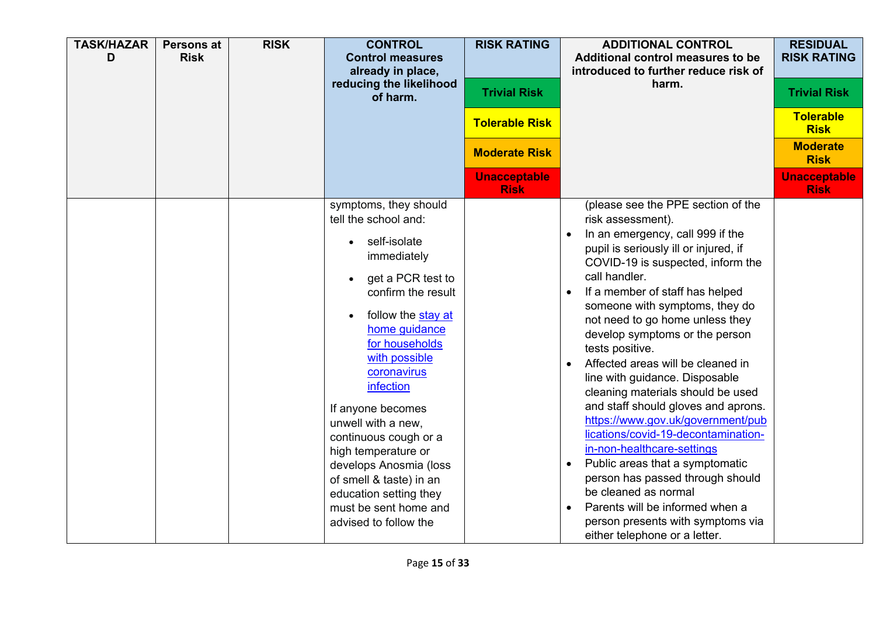| <b>TASK/HAZAR</b><br>D | Persons at<br><b>Risk</b> | <b>RISK</b> | <b>CONTROL</b><br><b>Control measures</b><br>already in place,<br>reducing the likelihood<br>of harm.                                                                                                                                                                                                                                                                                                                                                     | <b>RISK RATING</b><br><b>Trivial Risk</b><br><b>Tolerable Risk</b><br><b>Moderate Risk</b> | <b>ADDITIONAL CONTROL</b><br>Additional control measures to be<br>introduced to further reduce risk of<br>harm.                                                                                                                                                                                                                                                                                                                                                                                                                                                                                                                                                                                                                                                                                                              | <b>RESIDUAL</b><br><b>RISK RATING</b><br><b>Trivial Risk</b><br><b>Tolerable</b><br><b>Risk</b><br><b>Moderate</b><br><b>Risk</b> |
|------------------------|---------------------------|-------------|-----------------------------------------------------------------------------------------------------------------------------------------------------------------------------------------------------------------------------------------------------------------------------------------------------------------------------------------------------------------------------------------------------------------------------------------------------------|--------------------------------------------------------------------------------------------|------------------------------------------------------------------------------------------------------------------------------------------------------------------------------------------------------------------------------------------------------------------------------------------------------------------------------------------------------------------------------------------------------------------------------------------------------------------------------------------------------------------------------------------------------------------------------------------------------------------------------------------------------------------------------------------------------------------------------------------------------------------------------------------------------------------------------|-----------------------------------------------------------------------------------------------------------------------------------|
|                        |                           |             |                                                                                                                                                                                                                                                                                                                                                                                                                                                           | <b>Unacceptable</b><br><b>Risk</b>                                                         |                                                                                                                                                                                                                                                                                                                                                                                                                                                                                                                                                                                                                                                                                                                                                                                                                              | <b>Unacceptable</b><br><b>Risk</b>                                                                                                |
|                        |                           |             | symptoms, they should<br>tell the school and:<br>self-isolate<br>immediately<br>get a PCR test to<br>confirm the result<br>follow the stay at<br>home guidance<br>for households<br>with possible<br>coronavirus<br>infection<br>If anyone becomes<br>unwell with a new,<br>continuous cough or a<br>high temperature or<br>develops Anosmia (loss<br>of smell & taste) in an<br>education setting they<br>must be sent home and<br>advised to follow the |                                                                                            | (please see the PPE section of the<br>risk assessment).<br>In an emergency, call 999 if the<br>pupil is seriously ill or injured, if<br>COVID-19 is suspected, inform the<br>call handler.<br>If a member of staff has helped<br>someone with symptoms, they do<br>not need to go home unless they<br>develop symptoms or the person<br>tests positive.<br>Affected areas will be cleaned in<br>line with guidance. Disposable<br>cleaning materials should be used<br>and staff should gloves and aprons.<br>https://www.gov.uk/government/pub<br>lications/covid-19-decontamination-<br>in-non-healthcare-settings<br>Public areas that a symptomatic<br>person has passed through should<br>be cleaned as normal<br>Parents will be informed when a<br>person presents with symptoms via<br>either telephone or a letter. |                                                                                                                                   |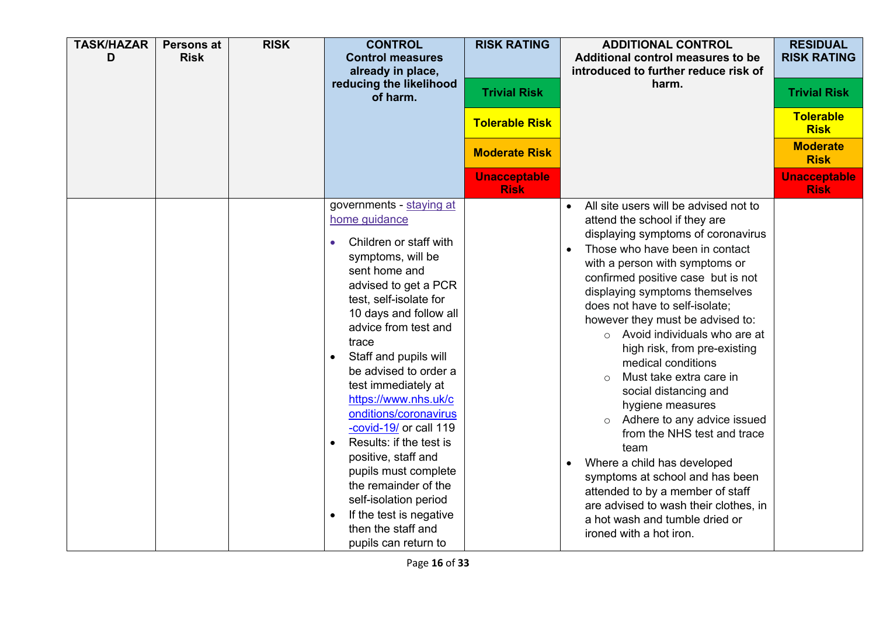| <b>TASK/HAZAR</b><br>D | <b>Persons at</b><br><b>Risk</b> | <b>RISK</b> | <b>CONTROL</b><br><b>Control measures</b><br>already in place,<br>reducing the likelihood<br>of harm.                                                                                                                                                                                                                                                                                                                                                                                                                                                                          | <b>RISK RATING</b><br><b>Trivial Risk</b><br><b>Tolerable Risk</b><br><b>Moderate Risk</b><br><b>Unacceptable</b><br><b>Risk</b> | <b>ADDITIONAL CONTROL</b><br>Additional control measures to be<br>introduced to further reduce risk of<br>harm.                                                                                                                                                                                                                                                                                                                                                                                                                                                                                                                                                                                                                                                                                                            | <b>RESIDUAL</b><br><b>RISK RATING</b><br><b>Trivial Risk</b><br><b>Tolerable</b><br><b>Risk</b><br><b>Moderate</b><br><b>Risk</b><br><b>Unacceptable</b><br><b>Risk</b> |
|------------------------|----------------------------------|-------------|--------------------------------------------------------------------------------------------------------------------------------------------------------------------------------------------------------------------------------------------------------------------------------------------------------------------------------------------------------------------------------------------------------------------------------------------------------------------------------------------------------------------------------------------------------------------------------|----------------------------------------------------------------------------------------------------------------------------------|----------------------------------------------------------------------------------------------------------------------------------------------------------------------------------------------------------------------------------------------------------------------------------------------------------------------------------------------------------------------------------------------------------------------------------------------------------------------------------------------------------------------------------------------------------------------------------------------------------------------------------------------------------------------------------------------------------------------------------------------------------------------------------------------------------------------------|-------------------------------------------------------------------------------------------------------------------------------------------------------------------------|
|                        |                                  |             | governments - staying at<br>home guidance<br>Children or staff with<br>symptoms, will be<br>sent home and<br>advised to get a PCR<br>test, self-isolate for<br>10 days and follow all<br>advice from test and<br>trace<br>Staff and pupils will<br>be advised to order a<br>test immediately at<br>https://www.nhs.uk/c<br>onditions/coronavirus<br>-covid-19/ or call 119<br>Results: if the test is<br>positive, staff and<br>pupils must complete<br>the remainder of the<br>self-isolation period<br>If the test is negative<br>then the staff and<br>pupils can return to |                                                                                                                                  | All site users will be advised not to<br>$\bullet$<br>attend the school if they are<br>displaying symptoms of coronavirus<br>Those who have been in contact<br>with a person with symptoms or<br>confirmed positive case but is not<br>displaying symptoms themselves<br>does not have to self-isolate;<br>however they must be advised to:<br>$\circ$ Avoid individuals who are at<br>high risk, from pre-existing<br>medical conditions<br>Must take extra care in<br>$\Omega$<br>social distancing and<br>hygiene measures<br>Adhere to any advice issued<br>$\circ$<br>from the NHS test and trace<br>team<br>Where a child has developed<br>symptoms at school and has been<br>attended to by a member of staff<br>are advised to wash their clothes, in<br>a hot wash and tumble dried or<br>ironed with a hot iron. |                                                                                                                                                                         |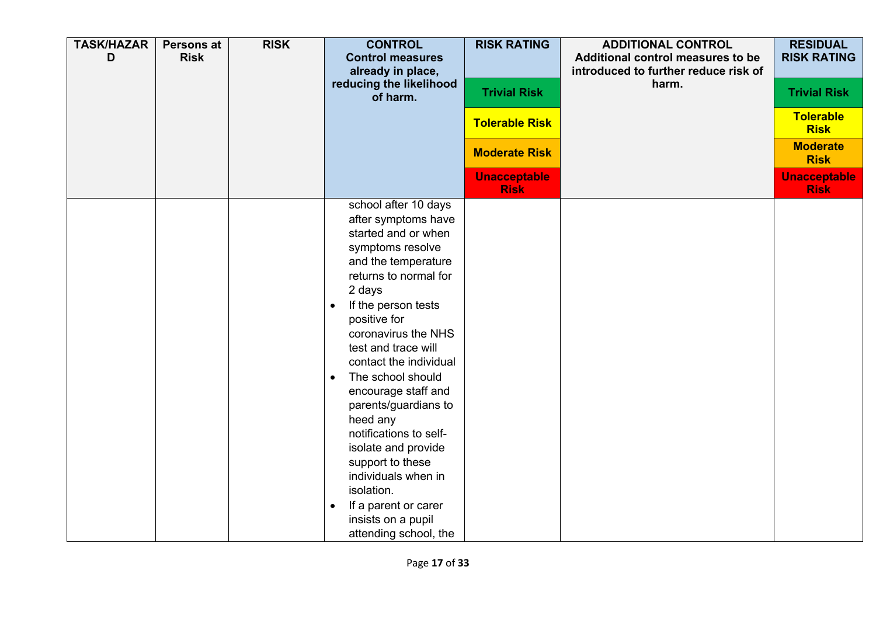| <b>TASK/HAZAR</b><br>D | <b>Persons at</b><br><b>Risk</b> | <b>RISK</b> | <b>CONTROL</b><br><b>Control measures</b><br>already in place,<br>reducing the likelihood<br>of harm.                                                                                                                                                                                                                                                                                                                                                                                                                                                      | <b>RISK RATING</b><br><b>Trivial Risk</b><br><b>Tolerable Risk</b><br><b>Moderate Risk</b><br><b>Unacceptable</b> | <b>ADDITIONAL CONTROL</b><br>Additional control measures to be<br>introduced to further reduce risk of<br>harm. | <b>RESIDUAL</b><br><b>RISK RATING</b><br><b>Trivial Risk</b><br>Tolerable<br><b>Risk</b><br><b>Moderate</b><br><b>Risk</b><br><b>Unacceptable</b> |
|------------------------|----------------------------------|-------------|------------------------------------------------------------------------------------------------------------------------------------------------------------------------------------------------------------------------------------------------------------------------------------------------------------------------------------------------------------------------------------------------------------------------------------------------------------------------------------------------------------------------------------------------------------|-------------------------------------------------------------------------------------------------------------------|-----------------------------------------------------------------------------------------------------------------|---------------------------------------------------------------------------------------------------------------------------------------------------|
|                        |                                  |             | school after 10 days<br>after symptoms have<br>started and or when<br>symptoms resolve<br>and the temperature<br>returns to normal for<br>2 days<br>If the person tests<br>positive for<br>coronavirus the NHS<br>test and trace will<br>contact the individual<br>The school should<br>$\bullet$<br>encourage staff and<br>parents/guardians to<br>heed any<br>notifications to self-<br>isolate and provide<br>support to these<br>individuals when in<br>isolation.<br>If a parent or carer<br>$\bullet$<br>insists on a pupil<br>attending school, the | <b>Risk</b>                                                                                                       |                                                                                                                 | <b>Risk</b>                                                                                                                                       |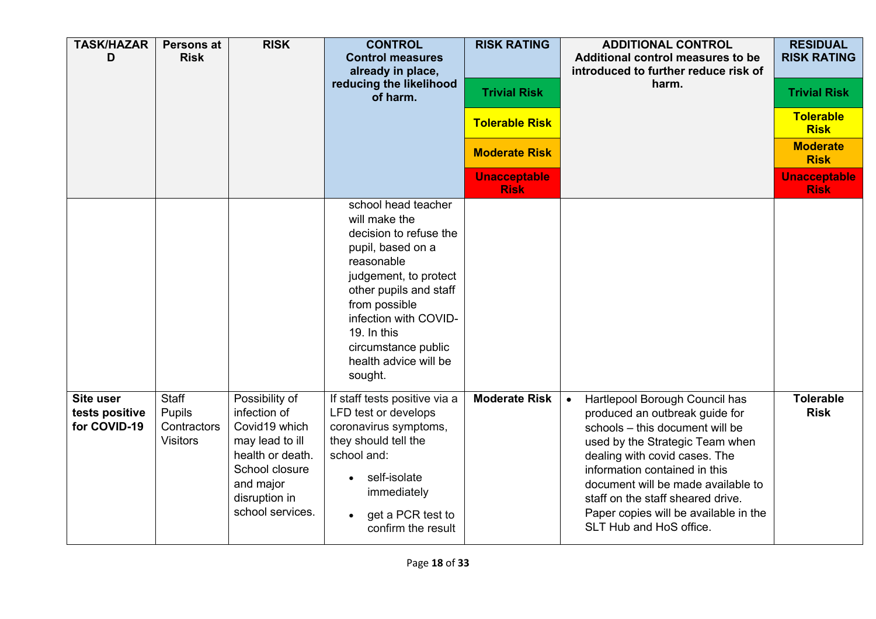| <b>TASK/HAZAR</b><br>D                             | <b>Persons at</b><br><b>Risk</b>                  | <b>RISK</b>                                                                                                                                                | <b>CONTROL</b><br><b>Control measures</b><br>already in place,<br>reducing the likelihood<br>of harm.                                                                                                                                                                    | <b>RISK RATING</b><br><b>Trivial Risk</b><br><b>Tolerable Risk</b><br><b>Moderate Risk</b><br><b>Unacceptable</b><br><b>Risk</b> | <b>ADDITIONAL CONTROL</b><br>Additional control measures to be<br>introduced to further reduce risk of<br>harm.                                                                                                                                                                                                                                                      | <b>RESIDUAL</b><br><b>RISK RATING</b><br><b>Trivial Risk</b><br><b>Tolerable</b><br><b>Risk</b><br><b>Moderate</b><br><b>Risk</b><br><b>Unacceptable</b><br><b>Risk</b> |
|----------------------------------------------------|---------------------------------------------------|------------------------------------------------------------------------------------------------------------------------------------------------------------|--------------------------------------------------------------------------------------------------------------------------------------------------------------------------------------------------------------------------------------------------------------------------|----------------------------------------------------------------------------------------------------------------------------------|----------------------------------------------------------------------------------------------------------------------------------------------------------------------------------------------------------------------------------------------------------------------------------------------------------------------------------------------------------------------|-------------------------------------------------------------------------------------------------------------------------------------------------------------------------|
|                                                    |                                                   |                                                                                                                                                            | school head teacher<br>will make the<br>decision to refuse the<br>pupil, based on a<br>reasonable<br>judgement, to protect<br>other pupils and staff<br>from possible<br>infection with COVID-<br>19. In this<br>circumstance public<br>health advice will be<br>sought. |                                                                                                                                  |                                                                                                                                                                                                                                                                                                                                                                      |                                                                                                                                                                         |
| <b>Site user</b><br>tests positive<br>for COVID-19 | Staff<br>Pupils<br>Contractors<br><b>Visitors</b> | Possibility of<br>infection of<br>Covid19 which<br>may lead to ill<br>health or death.<br>School closure<br>and major<br>disruption in<br>school services. | If staff tests positive via a<br>LFD test or develops<br>coronavirus symptoms,<br>they should tell the<br>school and:<br>self-isolate<br>immediately<br>get a PCR test to<br>confirm the result                                                                          | <b>Moderate Risk</b>                                                                                                             | Hartlepool Borough Council has<br>$\bullet$<br>produced an outbreak guide for<br>schools - this document will be<br>used by the Strategic Team when<br>dealing with covid cases. The<br>information contained in this<br>document will be made available to<br>staff on the staff sheared drive.<br>Paper copies will be available in the<br>SLT Hub and HoS office. | <b>Tolerable</b><br><b>Risk</b>                                                                                                                                         |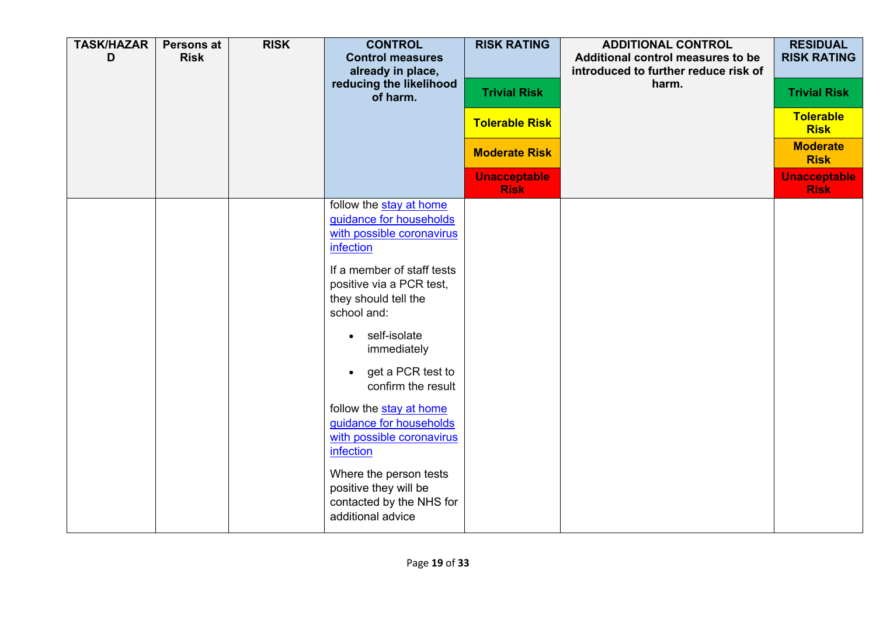| <b>TASK/HAZAR</b><br>D | <b>Persons at</b><br><b>Risk</b> | <b>RISK</b> | <b>CONTROL</b><br><b>Control measures</b><br>already in place,<br>reducing the likelihood        | <b>RISK RATING</b><br><b>Trivial Risk</b> | <b>ADDITIONAL CONTROL</b><br>Additional control measures to be<br>introduced to further reduce risk of<br>harm. | <b>RESIDUAL</b><br><b>RISK RATING</b><br><b>Trivial Risk</b> |
|------------------------|----------------------------------|-------------|--------------------------------------------------------------------------------------------------|-------------------------------------------|-----------------------------------------------------------------------------------------------------------------|--------------------------------------------------------------|
|                        |                                  |             | of harm.                                                                                         | <b>Tolerable Risk</b>                     |                                                                                                                 | <b>Tolerable</b><br><b>Risk</b>                              |
|                        |                                  |             |                                                                                                  | <b>Moderate Risk</b>                      |                                                                                                                 | <b>Moderate</b><br><b>Risk</b>                               |
|                        |                                  |             |                                                                                                  | <b>Unacceptable</b><br><b>Risk</b>        |                                                                                                                 | <b>Unacceptable</b><br><b>Risk</b>                           |
|                        |                                  |             | follow the stay at home<br>guidance for households<br>with possible coronavirus<br>infection     |                                           |                                                                                                                 |                                                              |
|                        |                                  |             | If a member of staff tests<br>positive via a PCR test,<br>they should tell the<br>school and:    |                                           |                                                                                                                 |                                                              |
|                        |                                  |             | self-isolate<br>$\bullet$<br>immediately                                                         |                                           |                                                                                                                 |                                                              |
|                        |                                  |             | get a PCR test to<br>$\bullet$<br>confirm the result                                             |                                           |                                                                                                                 |                                                              |
|                        |                                  |             | follow the stay at home<br>guidance for households<br>with possible coronavirus<br>infection     |                                           |                                                                                                                 |                                                              |
|                        |                                  |             | Where the person tests<br>positive they will be<br>contacted by the NHS for<br>additional advice |                                           |                                                                                                                 |                                                              |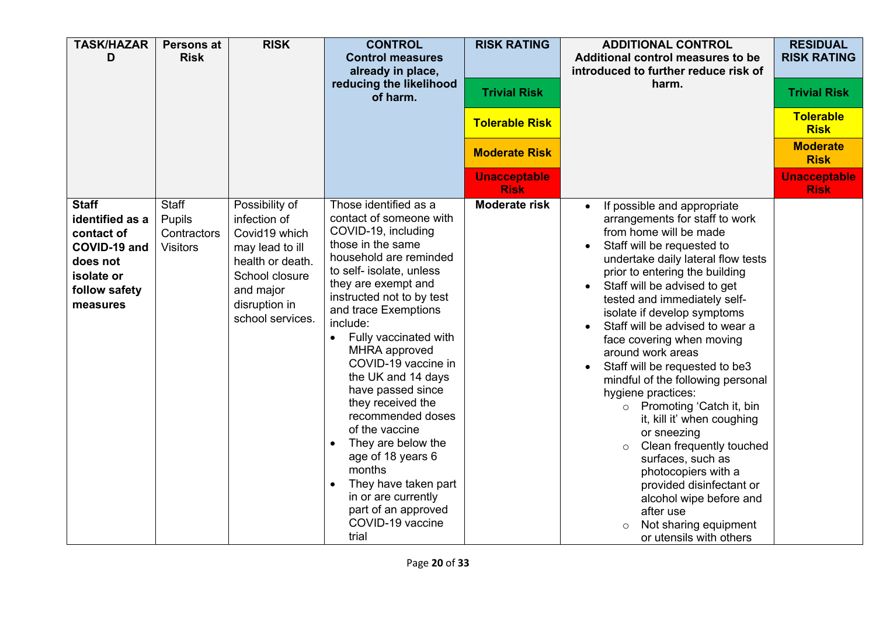| <b>TASK/HAZAR</b><br>D                                                                                               | Persons at<br><b>Risk</b>                         | <b>RISK</b>                                                                                                                                                | <b>CONTROL</b><br><b>Control measures</b><br>already in place,<br>reducing the likelihood<br>of harm.                                                                                                                                                                                                                                                                                                                                                                                                                                                                      | <b>RISK RATING</b><br><b>Trivial Risk</b><br><b>Tolerable Risk</b><br><b>Moderate Risk</b><br><b>Unacceptable</b><br><b>Risk</b> | <b>ADDITIONAL CONTROL</b><br>Additional control measures to be<br>introduced to further reduce risk of<br>harm.                                                                                                                                                                                                                                                                                                                                                                                                                                                                                                                                                                                                                                                               | <b>RESIDUAL</b><br><b>RISK RATING</b><br><b>Trivial Risk</b><br><b>Tolerable</b><br><b>Risk</b><br><b>Moderate</b><br><b>Risk</b><br><b>Unacceptable</b><br><b>Risk</b> |
|----------------------------------------------------------------------------------------------------------------------|---------------------------------------------------|------------------------------------------------------------------------------------------------------------------------------------------------------------|----------------------------------------------------------------------------------------------------------------------------------------------------------------------------------------------------------------------------------------------------------------------------------------------------------------------------------------------------------------------------------------------------------------------------------------------------------------------------------------------------------------------------------------------------------------------------|----------------------------------------------------------------------------------------------------------------------------------|-------------------------------------------------------------------------------------------------------------------------------------------------------------------------------------------------------------------------------------------------------------------------------------------------------------------------------------------------------------------------------------------------------------------------------------------------------------------------------------------------------------------------------------------------------------------------------------------------------------------------------------------------------------------------------------------------------------------------------------------------------------------------------|-------------------------------------------------------------------------------------------------------------------------------------------------------------------------|
| <b>Staff</b><br>identified as a<br>contact of<br>COVID-19 and<br>does not<br>isolate or<br>follow safety<br>measures | Staff<br>Pupils<br>Contractors<br><b>Visitors</b> | Possibility of<br>infection of<br>Covid19 which<br>may lead to ill<br>health or death.<br>School closure<br>and major<br>disruption in<br>school services. | Those identified as a<br>contact of someone with<br>COVID-19, including<br>those in the same<br>household are reminded<br>to self- isolate, unless<br>they are exempt and<br>instructed not to by test<br>and trace Exemptions<br>include:<br>Fully vaccinated with<br>MHRA approved<br>COVID-19 vaccine in<br>the UK and 14 days<br>have passed since<br>they received the<br>recommended doses<br>of the vaccine<br>They are below the<br>age of 18 years 6<br>months<br>They have taken part<br>in or are currently<br>part of an approved<br>COVID-19 vaccine<br>trial | <b>Moderate risk</b>                                                                                                             | If possible and appropriate<br>arrangements for staff to work<br>from home will be made<br>Staff will be requested to<br>undertake daily lateral flow tests<br>prior to entering the building<br>Staff will be advised to get<br>tested and immediately self-<br>isolate if develop symptoms<br>Staff will be advised to wear a<br>face covering when moving<br>around work areas<br>Staff will be requested to be3<br>mindful of the following personal<br>hygiene practices:<br>Promoting 'Catch it, bin<br>$\circ$<br>it, kill it' when coughing<br>or sneezing<br>Clean frequently touched<br>$\circ$<br>surfaces, such as<br>photocopiers with a<br>provided disinfectant or<br>alcohol wipe before and<br>after use<br>Not sharing equipment<br>or utensils with others |                                                                                                                                                                         |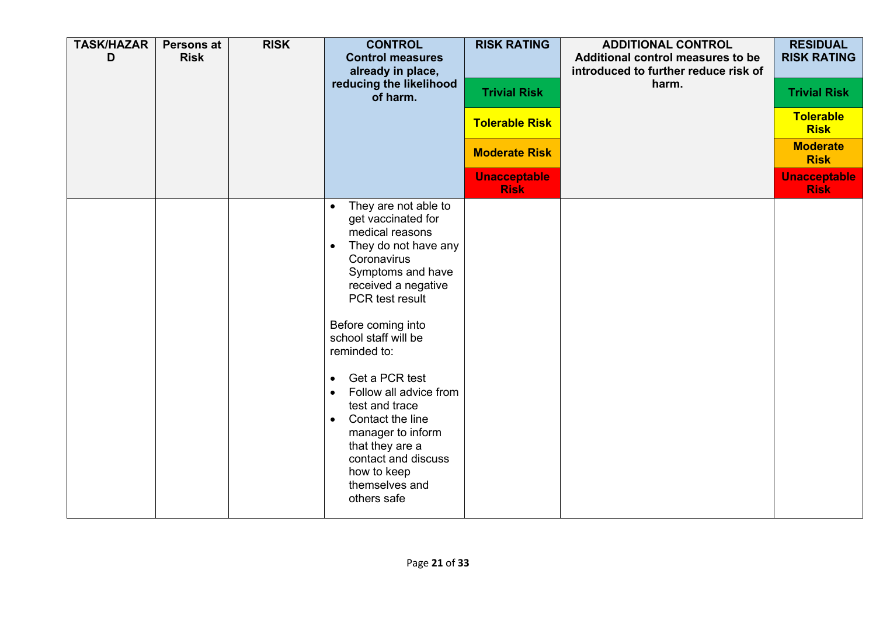| <b>TASK/HAZAR</b><br>D | <b>Persons at</b><br><b>Risk</b> | <b>RISK</b> | <b>CONTROL</b><br><b>Control measures</b><br>already in place,<br>reducing the likelihood<br>of harm.                                                                                                                                                                                                                                                                                                                                                                     | <b>RISK RATING</b><br><b>Trivial Risk</b><br><b>Tolerable Risk</b><br><b>Moderate Risk</b><br><b>Unacceptable</b><br><b>Risk</b> | <b>ADDITIONAL CONTROL</b><br>Additional control measures to be<br>introduced to further reduce risk of<br>harm. | <b>RESIDUAL</b><br><b>RISK RATING</b><br><b>Trivial Risk</b><br>Tolerable<br><b>Risk</b><br><b>Moderate</b><br><b>Risk</b><br><b>Unacceptable</b><br><b>Risk</b> |
|------------------------|----------------------------------|-------------|---------------------------------------------------------------------------------------------------------------------------------------------------------------------------------------------------------------------------------------------------------------------------------------------------------------------------------------------------------------------------------------------------------------------------------------------------------------------------|----------------------------------------------------------------------------------------------------------------------------------|-----------------------------------------------------------------------------------------------------------------|------------------------------------------------------------------------------------------------------------------------------------------------------------------|
|                        |                                  |             | They are not able to<br>$\bullet$<br>get vaccinated for<br>medical reasons<br>They do not have any<br>$\bullet$<br>Coronavirus<br>Symptoms and have<br>received a negative<br>PCR test result<br>Before coming into<br>school staff will be<br>reminded to:<br>Get a PCR test<br>Follow all advice from<br>test and trace<br>Contact the line<br>$\bullet$<br>manager to inform<br>that they are a<br>contact and discuss<br>how to keep<br>themselves and<br>others safe |                                                                                                                                  |                                                                                                                 |                                                                                                                                                                  |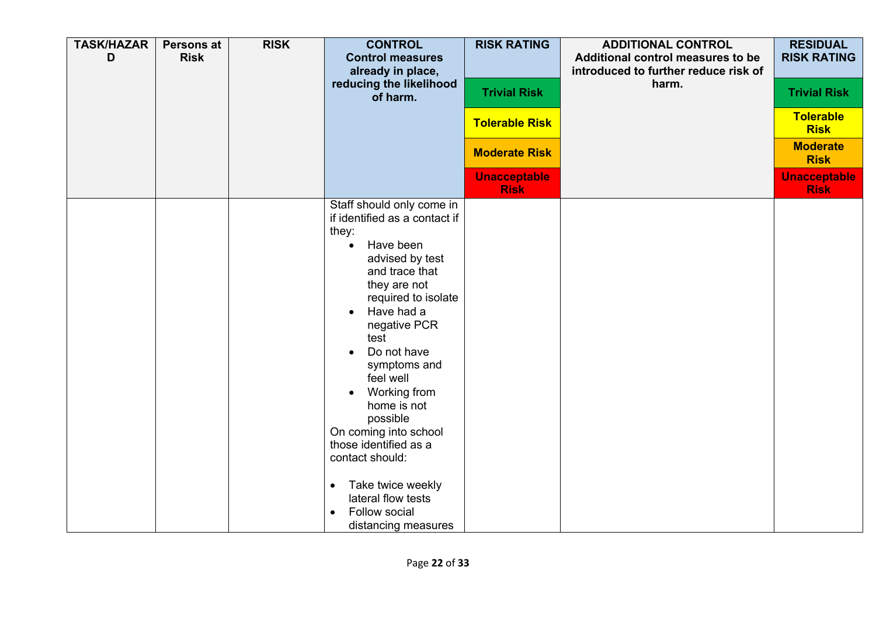| <b>TASK/HAZAR</b><br>D | <b>Persons at</b><br><b>Risk</b> | <b>RISK</b> | <b>CONTROL</b><br><b>Control measures</b><br>already in place,<br>reducing the likelihood<br>of harm.                                                                                                                                                                                                                                                                                                                                                                                    | <b>RISK RATING</b><br><b>Trivial Risk</b><br><b>Tolerable Risk</b><br><b>Moderate Risk</b><br><b>Unacceptable</b><br><b>Risk</b> | <b>ADDITIONAL CONTROL</b><br>Additional control measures to be<br>introduced to further reduce risk of<br>harm. | <b>RESIDUAL</b><br><b>RISK RATING</b><br><b>Trivial Risk</b><br><b>Tolerable</b><br><b>Risk</b><br><b>Moderate</b><br><b>Risk</b><br><b>Unacceptable</b><br><b>Risk</b> |
|------------------------|----------------------------------|-------------|------------------------------------------------------------------------------------------------------------------------------------------------------------------------------------------------------------------------------------------------------------------------------------------------------------------------------------------------------------------------------------------------------------------------------------------------------------------------------------------|----------------------------------------------------------------------------------------------------------------------------------|-----------------------------------------------------------------------------------------------------------------|-------------------------------------------------------------------------------------------------------------------------------------------------------------------------|
|                        |                                  |             | Staff should only come in<br>if identified as a contact if<br>they:<br>Have been<br>$\bullet$<br>advised by test<br>and trace that<br>they are not<br>required to isolate<br>Have had a<br>negative PCR<br>test<br>Do not have<br>symptoms and<br>feel well<br>Working from<br>$\bullet$<br>home is not<br>possible<br>On coming into school<br>those identified as a<br>contact should:<br>Take twice weekly<br>$\bullet$<br>lateral flow tests<br>Follow social<br>distancing measures |                                                                                                                                  |                                                                                                                 |                                                                                                                                                                         |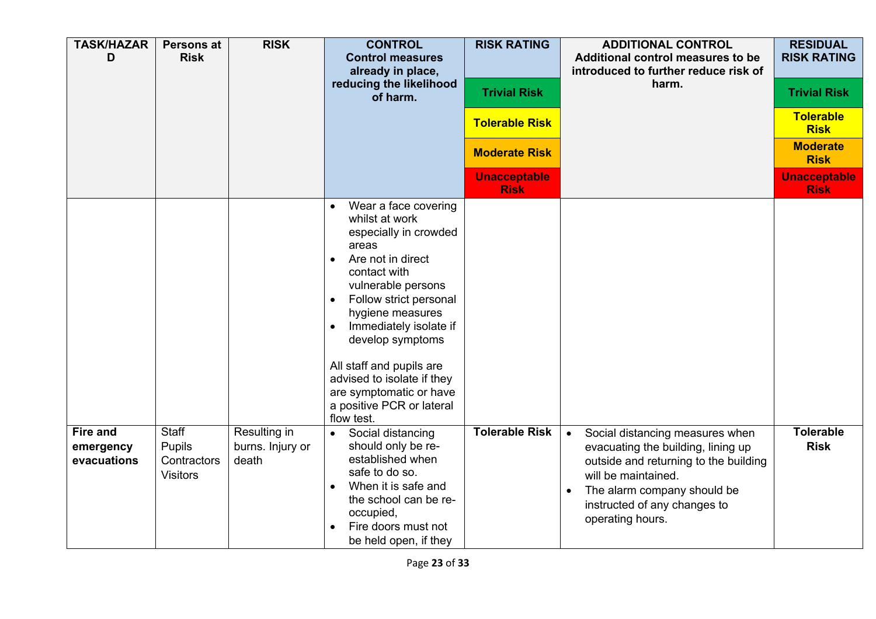| <b>TASK/HAZAR</b><br>D                      | Persons at<br><b>Risk</b>                                | <b>RISK</b>                               | <b>CONTROL</b><br><b>Control measures</b><br>already in place,<br>reducing the likelihood<br>of harm.                                                                                                                                                                                                                                                                        | <b>RISK RATING</b><br><b>Trivial Risk</b><br><b>Tolerable Risk</b><br><b>Moderate Risk</b><br><b>Unacceptable</b><br><b>Risk</b> | <b>ADDITIONAL CONTROL</b><br>Additional control measures to be<br>introduced to further reduce risk of<br>harm.                                                                                                                                    | <b>RESIDUAL</b><br><b>RISK RATING</b><br><b>Trivial Risk</b><br><b>Tolerable</b><br><b>Risk</b><br><b>Moderate</b><br><b>Risk</b><br><b>Unacceptable</b><br><b>Risk</b> |
|---------------------------------------------|----------------------------------------------------------|-------------------------------------------|------------------------------------------------------------------------------------------------------------------------------------------------------------------------------------------------------------------------------------------------------------------------------------------------------------------------------------------------------------------------------|----------------------------------------------------------------------------------------------------------------------------------|----------------------------------------------------------------------------------------------------------------------------------------------------------------------------------------------------------------------------------------------------|-------------------------------------------------------------------------------------------------------------------------------------------------------------------------|
|                                             |                                                          |                                           | Wear a face covering<br>whilst at work<br>especially in crowded<br>areas<br>Are not in direct<br>contact with<br>vulnerable persons<br>Follow strict personal<br>$\bullet$<br>hygiene measures<br>Immediately isolate if<br>develop symptoms<br>All staff and pupils are<br>advised to isolate if they<br>are symptomatic or have<br>a positive PCR or lateral<br>flow test. |                                                                                                                                  |                                                                                                                                                                                                                                                    |                                                                                                                                                                         |
| <b>Fire and</b><br>emergency<br>evacuations | Staff<br><b>Pupils</b><br>Contractors<br><b>Visitors</b> | Resulting in<br>burns. Injury or<br>death | Social distancing<br>$\bullet$<br>should only be re-<br>established when<br>safe to do so.<br>When it is safe and<br>the school can be re-<br>occupied,<br>Fire doors must not<br>be held open, if they                                                                                                                                                                      | <b>Tolerable Risk</b>                                                                                                            | Social distancing measures when<br>$\bullet$<br>evacuating the building, lining up<br>outside and returning to the building<br>will be maintained.<br>The alarm company should be<br>$\bullet$<br>instructed of any changes to<br>operating hours. | <b>Tolerable</b><br><b>Risk</b>                                                                                                                                         |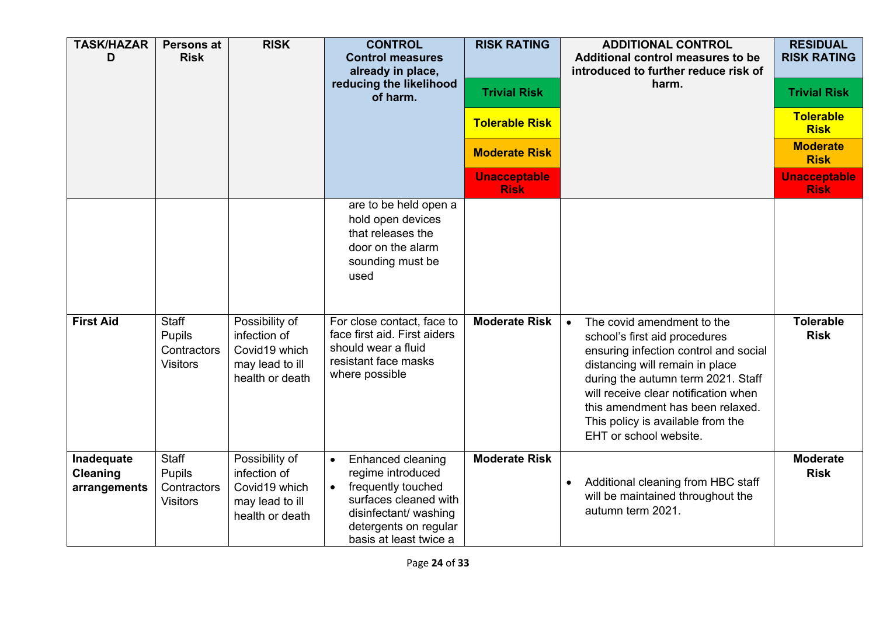| <b>TASK/HAZAR</b><br>D                        | <b>Persons at</b><br><b>Risk</b>                                | <b>RISK</b>                                                                           | <b>CONTROL</b><br><b>Control measures</b><br>already in place,<br>reducing the likelihood<br>of harm.                                                                                       | <b>RISK RATING</b><br><b>Trivial Risk</b><br><b>Tolerable Risk</b><br><b>Moderate Risk</b><br><b>Unacceptable</b><br><b>Risk</b> | <b>ADDITIONAL CONTROL</b><br>Additional control measures to be<br>introduced to further reduce risk of<br>harm.                                                                                                                                                                                                                       | <b>RESIDUAL</b><br><b>RISK RATING</b><br><b>Trivial Risk</b><br><b>Tolerable</b><br><b>Risk</b><br><b>Moderate</b><br><b>Risk</b><br><b>Unacceptable</b><br><b>Risk</b> |
|-----------------------------------------------|-----------------------------------------------------------------|---------------------------------------------------------------------------------------|---------------------------------------------------------------------------------------------------------------------------------------------------------------------------------------------|----------------------------------------------------------------------------------------------------------------------------------|---------------------------------------------------------------------------------------------------------------------------------------------------------------------------------------------------------------------------------------------------------------------------------------------------------------------------------------|-------------------------------------------------------------------------------------------------------------------------------------------------------------------------|
|                                               |                                                                 |                                                                                       | are to be held open a<br>hold open devices<br>that releases the<br>door on the alarm<br>sounding must be<br>used                                                                            |                                                                                                                                  |                                                                                                                                                                                                                                                                                                                                       |                                                                                                                                                                         |
| <b>First Aid</b>                              | <b>Staff</b><br><b>Pupils</b><br>Contractors<br><b>Visitors</b> | Possibility of<br>infection of<br>Covid19 which<br>may lead to ill<br>health or death | For close contact, face to<br>face first aid. First aiders<br>should wear a fluid<br>resistant face masks<br>where possible                                                                 | <b>Moderate Risk</b>                                                                                                             | The covid amendment to the<br>$\bullet$<br>school's first aid procedures<br>ensuring infection control and social<br>distancing will remain in place<br>during the autumn term 2021. Staff<br>will receive clear notification when<br>this amendment has been relaxed.<br>This policy is available from the<br>EHT or school website. | <b>Tolerable</b><br><b>Risk</b>                                                                                                                                         |
| Inadequate<br><b>Cleaning</b><br>arrangements | Staff<br>Pupils<br>Contractors<br><b>Visitors</b>               | Possibility of<br>infection of<br>Covid19 which<br>may lead to ill<br>health or death | Enhanced cleaning<br>$\bullet$<br>regime introduced<br>frequently touched<br>$\bullet$<br>surfaces cleaned with<br>disinfectant/ washing<br>detergents on regular<br>basis at least twice a | <b>Moderate Risk</b>                                                                                                             | Additional cleaning from HBC staff<br>$\bullet$<br>will be maintained throughout the<br>autumn term 2021.                                                                                                                                                                                                                             | <b>Moderate</b><br><b>Risk</b>                                                                                                                                          |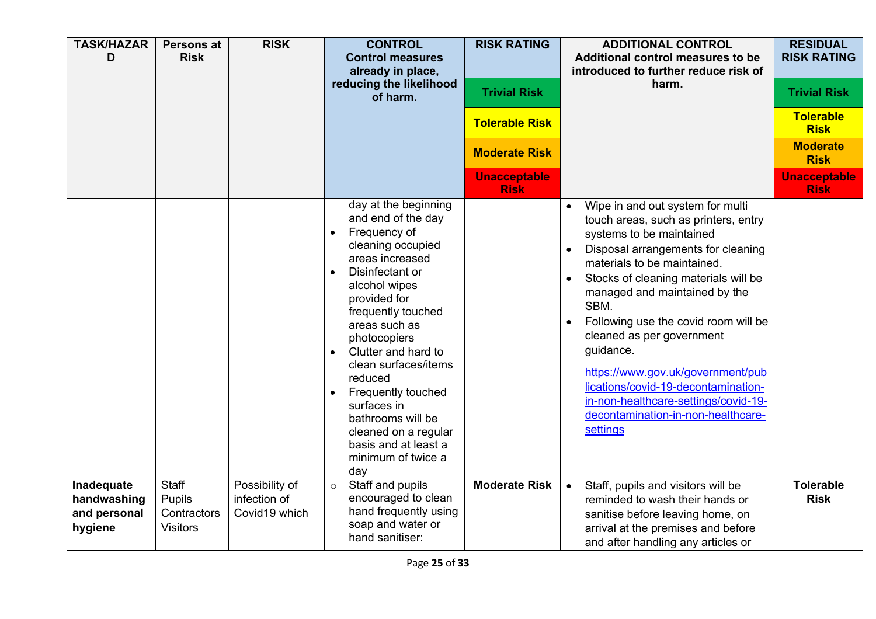| <b>TASK/HAZAR</b><br>D                               | <b>Persons at</b><br><b>Risk</b>                         | <b>RISK</b>                                     | <b>CONTROL</b><br><b>Control measures</b><br>already in place,<br>reducing the likelihood<br>of harm.                                                                                                                                                                                                                                                                                                                                                              | <b>RISK RATING</b><br><b>Trivial Risk</b><br><b>Tolerable Risk</b><br><b>Moderate Risk</b><br><b>Unacceptable</b><br><b>Risk</b> | <b>ADDITIONAL CONTROL</b><br>Additional control measures to be<br>introduced to further reduce risk of<br>harm.                                                                                                                                                                                                                                                                                                                                                                                                    | <b>RESIDUAL</b><br><b>RISK RATING</b><br><b>Trivial Risk</b><br><b>Tolerable</b><br><b>Risk</b><br><b>Moderate</b><br><b>Risk</b><br><b>Unacceptable</b><br><b>Risk</b> |
|------------------------------------------------------|----------------------------------------------------------|-------------------------------------------------|--------------------------------------------------------------------------------------------------------------------------------------------------------------------------------------------------------------------------------------------------------------------------------------------------------------------------------------------------------------------------------------------------------------------------------------------------------------------|----------------------------------------------------------------------------------------------------------------------------------|--------------------------------------------------------------------------------------------------------------------------------------------------------------------------------------------------------------------------------------------------------------------------------------------------------------------------------------------------------------------------------------------------------------------------------------------------------------------------------------------------------------------|-------------------------------------------------------------------------------------------------------------------------------------------------------------------------|
|                                                      |                                                          |                                                 | day at the beginning<br>and end of the day<br>Frequency of<br>$\bullet$<br>cleaning occupied<br>areas increased<br>Disinfectant or<br>$\bullet$<br>alcohol wipes<br>provided for<br>frequently touched<br>areas such as<br>photocopiers<br>Clutter and hard to<br>$\bullet$<br>clean surfaces/items<br>reduced<br>Frequently touched<br>$\bullet$<br>surfaces in<br>bathrooms will be<br>cleaned on a regular<br>basis and at least a<br>minimum of twice a<br>day |                                                                                                                                  | Wipe in and out system for multi<br>touch areas, such as printers, entry<br>systems to be maintained<br>Disposal arrangements for cleaning<br>materials to be maintained.<br>Stocks of cleaning materials will be<br>managed and maintained by the<br>SBM.<br>Following use the covid room will be<br>cleaned as per government<br>guidance.<br>https://www.gov.uk/government/pub<br>lications/covid-19-decontamination-<br>in-non-healthcare-settings/covid-19-<br>decontamination-in-non-healthcare-<br>settings |                                                                                                                                                                         |
| Inadequate<br>handwashing<br>and personal<br>hygiene | <b>Staff</b><br>Pupils<br>Contractors<br><b>Visitors</b> | Possibility of<br>infection of<br>Covid19 which | Staff and pupils<br>$\circ$<br>encouraged to clean<br>hand frequently using<br>soap and water or<br>hand sanitiser:                                                                                                                                                                                                                                                                                                                                                | <b>Moderate Risk</b>                                                                                                             | Staff, pupils and visitors will be<br>$\bullet$<br>reminded to wash their hands or<br>sanitise before leaving home, on<br>arrival at the premises and before<br>and after handling any articles or                                                                                                                                                                                                                                                                                                                 | <b>Tolerable</b><br><b>Risk</b>                                                                                                                                         |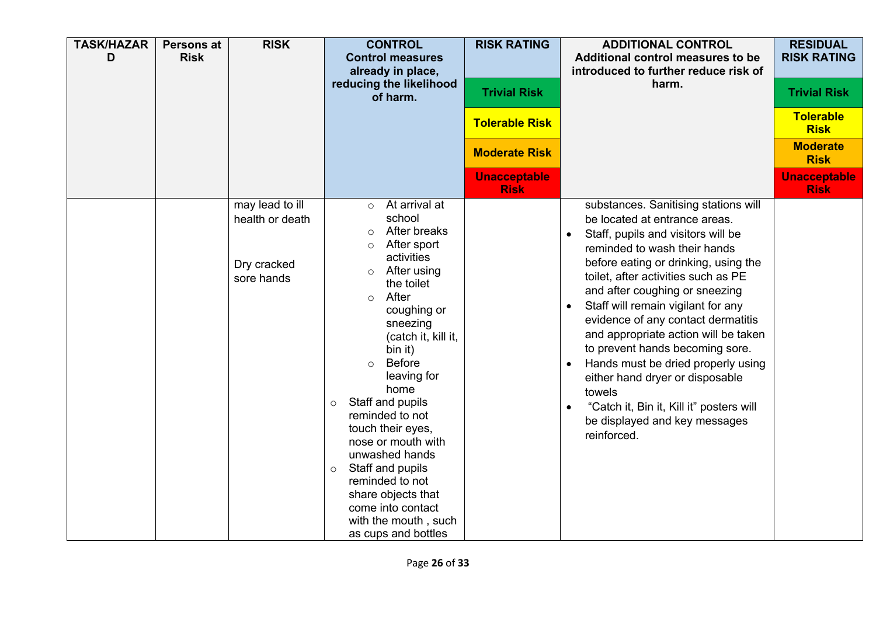| <b>TASK/HAZAR</b><br>D | <b>Persons at</b><br><b>Risk</b> | <b>RISK</b>                                                     | <b>CONTROL</b><br><b>Control measures</b><br>already in place,<br>reducing the likelihood<br>of harm.                                                                                                                                                                                                                                                                                                                                                                                                                                            | <b>RISK RATING</b><br><b>Trivial Risk</b><br><b>Tolerable Risk</b><br><b>Moderate Risk</b><br><b>Unacceptable</b> | <b>ADDITIONAL CONTROL</b><br>Additional control measures to be<br>introduced to further reduce risk of<br>harm.                                                                                                                                                                                                                                                                                                                                                                                                                                                                                                 | <b>RESIDUAL</b><br><b>RISK RATING</b><br><b>Trivial Risk</b><br><b>Tolerable</b><br><b>Risk</b><br><b>Moderate</b><br><b>Risk</b><br><b>Unacceptable</b> |
|------------------------|----------------------------------|-----------------------------------------------------------------|--------------------------------------------------------------------------------------------------------------------------------------------------------------------------------------------------------------------------------------------------------------------------------------------------------------------------------------------------------------------------------------------------------------------------------------------------------------------------------------------------------------------------------------------------|-------------------------------------------------------------------------------------------------------------------|-----------------------------------------------------------------------------------------------------------------------------------------------------------------------------------------------------------------------------------------------------------------------------------------------------------------------------------------------------------------------------------------------------------------------------------------------------------------------------------------------------------------------------------------------------------------------------------------------------------------|----------------------------------------------------------------------------------------------------------------------------------------------------------|
|                        |                                  | may lead to ill<br>health or death<br>Dry cracked<br>sore hands | At arrival at<br>$\circ$<br>school<br>After breaks<br>$\circ$<br>After sport<br>$\circ$<br>activities<br>After using<br>$\circ$<br>the toilet<br>After<br>$\Omega$<br>coughing or<br>sneezing<br>(catch it, kill it,<br>bin it)<br><b>Before</b><br>$\bigcirc$<br>leaving for<br>home<br>Staff and pupils<br>$\circ$<br>reminded to not<br>touch their eyes,<br>nose or mouth with<br>unwashed hands<br>Staff and pupils<br>$\circ$<br>reminded to not<br>share objects that<br>come into contact<br>with the mouth, such<br>as cups and bottles | <b>Risk</b>                                                                                                       | substances. Sanitising stations will<br>be located at entrance areas.<br>Staff, pupils and visitors will be<br>$\bullet$<br>reminded to wash their hands<br>before eating or drinking, using the<br>toilet, after activities such as PE<br>and after coughing or sneezing<br>Staff will remain vigilant for any<br>evidence of any contact dermatitis<br>and appropriate action will be taken<br>to prevent hands becoming sore.<br>Hands must be dried properly using<br>either hand dryer or disposable<br>towels<br>"Catch it, Bin it, Kill it" posters will<br>be displayed and key messages<br>reinforced. | <b>Risk</b>                                                                                                                                              |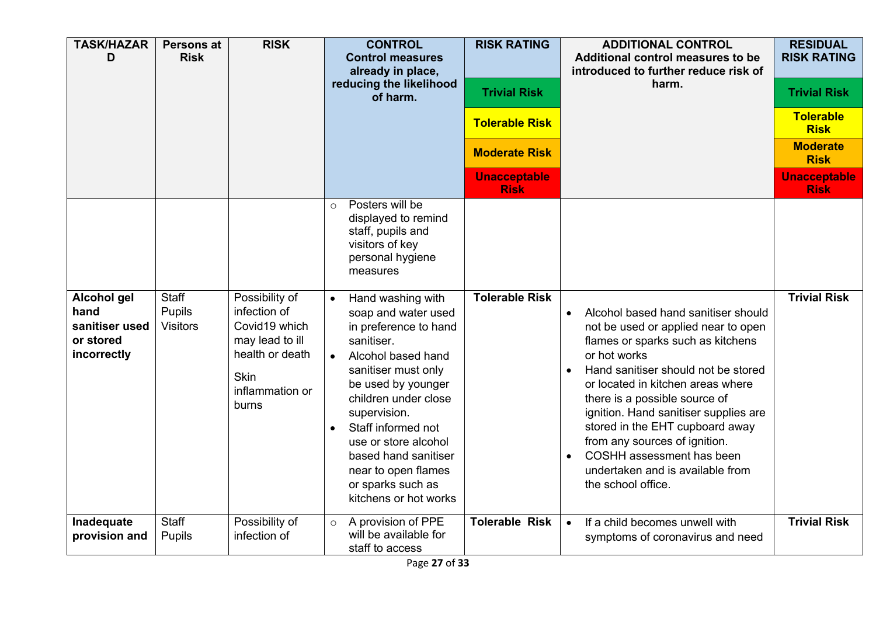| <b>TASK/HAZAR</b><br>D                                            | <b>Persons at</b><br><b>Risk</b>          | <b>RISK</b>                                                                                                                      | <b>CONTROL</b><br><b>Control measures</b><br>already in place,<br>reducing the likelihood<br>of harm.                                                                                                                                                                                                                                                                                                                                                                                        | <b>RISK RATING</b><br><b>Trivial Risk</b><br><b>Tolerable Risk</b><br><b>Moderate Risk</b><br><b>Unacceptable</b><br><b>Risk</b> | <b>ADDITIONAL CONTROL</b><br>Additional control measures to be<br>introduced to further reduce risk of<br>harm.                                                                                                                                                                                                                                                                                                                                               | <b>RESIDUAL</b><br><b>RISK RATING</b><br><b>Trivial Risk</b><br><b>Tolerable</b><br><b>Risk</b><br><b>Moderate</b><br><b>Risk</b><br><b>Unacceptable</b><br><b>Risk</b> |
|-------------------------------------------------------------------|-------------------------------------------|----------------------------------------------------------------------------------------------------------------------------------|----------------------------------------------------------------------------------------------------------------------------------------------------------------------------------------------------------------------------------------------------------------------------------------------------------------------------------------------------------------------------------------------------------------------------------------------------------------------------------------------|----------------------------------------------------------------------------------------------------------------------------------|---------------------------------------------------------------------------------------------------------------------------------------------------------------------------------------------------------------------------------------------------------------------------------------------------------------------------------------------------------------------------------------------------------------------------------------------------------------|-------------------------------------------------------------------------------------------------------------------------------------------------------------------------|
| Alcohol gel<br>hand<br>sanitiser used<br>or stored<br>incorrectly | <b>Staff</b><br>Pupils<br><b>Visitors</b> | Possibility of<br>infection of<br>Covid19 which<br>may lead to ill<br>health or death<br><b>Skin</b><br>inflammation or<br>burns | Posters will be<br>$\circ$<br>displayed to remind<br>staff, pupils and<br>visitors of key<br>personal hygiene<br>measures<br>Hand washing with<br>soap and water used<br>in preference to hand<br>sanitiser.<br>Alcohol based hand<br>$\bullet$<br>sanitiser must only<br>be used by younger<br>children under close<br>supervision.<br>Staff informed not<br>$\bullet$<br>use or store alcohol<br>based hand sanitiser<br>near to open flames<br>or sparks such as<br>kitchens or hot works | <b>Tolerable Risk</b>                                                                                                            | Alcohol based hand sanitiser should<br>not be used or applied near to open<br>flames or sparks such as kitchens<br>or hot works<br>Hand sanitiser should not be stored<br>or located in kitchen areas where<br>there is a possible source of<br>ignition. Hand sanitiser supplies are<br>stored in the EHT cupboard away<br>from any sources of ignition.<br>COSHH assessment has been<br>$\bullet$<br>undertaken and is available from<br>the school office. | <b>Trivial Risk</b>                                                                                                                                                     |
| Inadequate<br>provision and                                       | <b>Staff</b><br>Pupils                    | Possibility of<br>infection of                                                                                                   | A provision of PPE<br>$\circ$<br>will be available for<br>staff to access                                                                                                                                                                                                                                                                                                                                                                                                                    | <b>Tolerable Risk</b>                                                                                                            | If a child becomes unwell with<br>$\bullet$<br>symptoms of coronavirus and need                                                                                                                                                                                                                                                                                                                                                                               | <b>Trivial Risk</b>                                                                                                                                                     |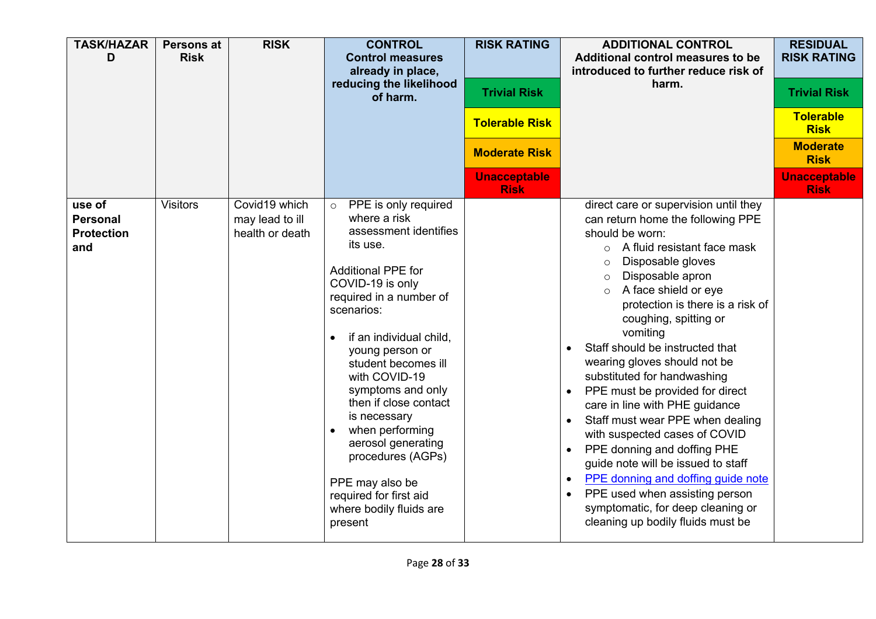| <b>TASK/HAZAR</b><br>D                                | <b>Persons at</b><br><b>Risk</b> | <b>RISK</b>                                         | <b>CONTROL</b><br><b>Control measures</b><br>already in place,<br>reducing the likelihood<br>of harm.                                                                                                                                                                                                                                                                                                                                                                               | <b>RISK RATING</b><br><b>Trivial Risk</b><br><b>Tolerable Risk</b><br><b>Moderate Risk</b> | <b>ADDITIONAL CONTROL</b><br>Additional control measures to be<br>introduced to further reduce risk of<br>harm.                                                                                                                                                                                                                                                                                                                                                                                                                                                                                                                                                                                                                                                            | <b>RESIDUAL</b><br><b>RISK RATING</b><br><b>Trivial Risk</b><br><b>Tolerable</b><br><b>Risk</b><br><b>Moderate</b><br><b>Risk</b> |
|-------------------------------------------------------|----------------------------------|-----------------------------------------------------|-------------------------------------------------------------------------------------------------------------------------------------------------------------------------------------------------------------------------------------------------------------------------------------------------------------------------------------------------------------------------------------------------------------------------------------------------------------------------------------|--------------------------------------------------------------------------------------------|----------------------------------------------------------------------------------------------------------------------------------------------------------------------------------------------------------------------------------------------------------------------------------------------------------------------------------------------------------------------------------------------------------------------------------------------------------------------------------------------------------------------------------------------------------------------------------------------------------------------------------------------------------------------------------------------------------------------------------------------------------------------------|-----------------------------------------------------------------------------------------------------------------------------------|
|                                                       |                                  |                                                     |                                                                                                                                                                                                                                                                                                                                                                                                                                                                                     | <b>Unacceptable</b><br><b>Risk</b>                                                         |                                                                                                                                                                                                                                                                                                                                                                                                                                                                                                                                                                                                                                                                                                                                                                            | <b>Unacceptable</b><br><b>Risk</b>                                                                                                |
| use of<br><b>Personal</b><br><b>Protection</b><br>and | <b>Visitors</b>                  | Covid19 which<br>may lead to ill<br>health or death | PPE is only required<br>$\circ$<br>where a risk<br>assessment identifies<br>its use.<br><b>Additional PPE for</b><br>COVID-19 is only<br>required in a number of<br>scenarios:<br>if an individual child,<br>young person or<br>student becomes ill<br>with COVID-19<br>symptoms and only<br>then if close contact<br>is necessary<br>when performing<br>aerosol generating<br>procedures (AGPs)<br>PPE may also be<br>required for first aid<br>where bodily fluids are<br>present |                                                                                            | direct care or supervision until they<br>can return home the following PPE<br>should be worn:<br>A fluid resistant face mask<br>$\circ$<br>Disposable gloves<br>$\circ$<br>Disposable apron<br>$\circ$<br>A face shield or eye<br>protection is there is a risk of<br>coughing, spitting or<br>vomiting<br>Staff should be instructed that<br>wearing gloves should not be<br>substituted for handwashing<br>PPE must be provided for direct<br>care in line with PHE guidance<br>Staff must wear PPE when dealing<br>with suspected cases of COVID<br>PPE donning and doffing PHE<br>guide note will be issued to staff<br>PPE donning and doffing guide note<br>PPE used when assisting person<br>symptomatic, for deep cleaning or<br>cleaning up bodily fluids must be |                                                                                                                                   |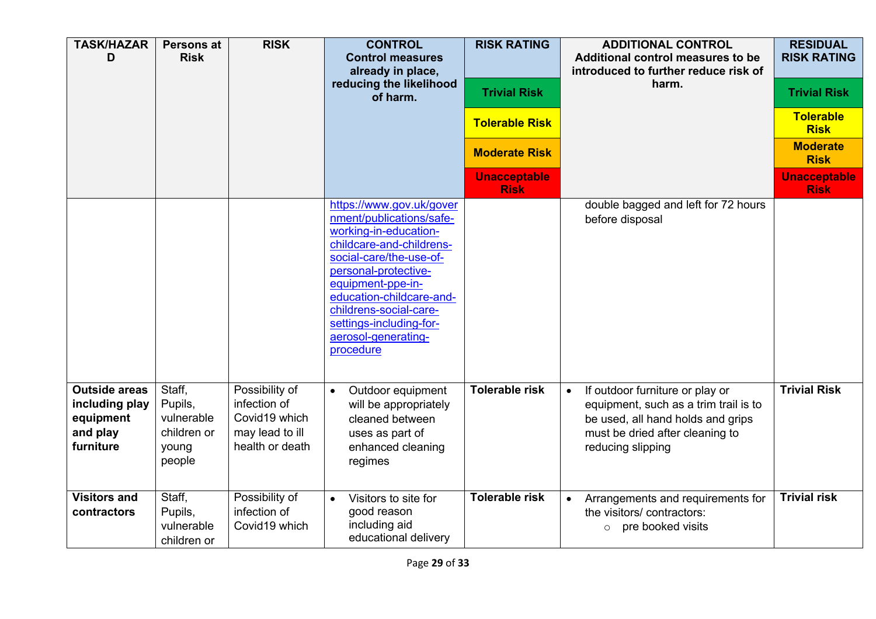| <b>TASK/HAZAR</b><br>D                                                       | Persons at<br><b>Risk</b>                                         | <b>RISK</b>                                                                           | <b>CONTROL</b><br><b>Control measures</b><br>already in place,<br>reducing the likelihood<br>of harm.                                                                                                                                                                                                  | <b>RISK RATING</b><br><b>Trivial Risk</b><br><b>Tolerable Risk</b> | <b>ADDITIONAL CONTROL</b><br>Additional control measures to be<br>introduced to further reduce risk of<br>harm.                                                                    | <b>RESIDUAL</b><br><b>RISK RATING</b><br><b>Trivial Risk</b><br><b>Tolerable</b><br><b>Risk</b> |
|------------------------------------------------------------------------------|-------------------------------------------------------------------|---------------------------------------------------------------------------------------|--------------------------------------------------------------------------------------------------------------------------------------------------------------------------------------------------------------------------------------------------------------------------------------------------------|--------------------------------------------------------------------|------------------------------------------------------------------------------------------------------------------------------------------------------------------------------------|-------------------------------------------------------------------------------------------------|
|                                                                              |                                                                   |                                                                                       |                                                                                                                                                                                                                                                                                                        | <b>Moderate Risk</b>                                               |                                                                                                                                                                                    | <b>Moderate</b><br><b>Risk</b>                                                                  |
|                                                                              |                                                                   |                                                                                       |                                                                                                                                                                                                                                                                                                        | <b>Unacceptable</b><br><b>Risk</b>                                 |                                                                                                                                                                                    | <b>Unacceptable</b><br><b>Risk</b>                                                              |
|                                                                              |                                                                   |                                                                                       | https://www.gov.uk/gover<br>nment/publications/safe-<br>working-in-education-<br>childcare-and-childrens-<br>social-care/the-use-of-<br>personal-protective-<br>equipment-ppe-in-<br>education-childcare-and-<br>childrens-social-care-<br>settings-including-for-<br>aerosol-generating-<br>procedure |                                                                    | double bagged and left for 72 hours<br>before disposal                                                                                                                             |                                                                                                 |
| <b>Outside areas</b><br>including play<br>equipment<br>and play<br>furniture | Staff,<br>Pupils,<br>vulnerable<br>children or<br>young<br>people | Possibility of<br>infection of<br>Covid19 which<br>may lead to ill<br>health or death | Outdoor equipment<br>$\bullet$<br>will be appropriately<br>cleaned between<br>uses as part of<br>enhanced cleaning<br>regimes                                                                                                                                                                          | <b>Tolerable risk</b>                                              | If outdoor furniture or play or<br>$\bullet$<br>equipment, such as a trim trail is to<br>be used, all hand holds and grips<br>must be dried after cleaning to<br>reducing slipping | <b>Trivial Risk</b>                                                                             |
| <b>Visitors and</b><br>contractors                                           | Staff,<br>Pupils,<br>vulnerable<br>children or                    | Possibility of<br>infection of<br>Covid19 which                                       | Visitors to site for<br>$\bullet$<br>good reason<br>including aid<br>educational delivery                                                                                                                                                                                                              | <b>Tolerable risk</b>                                              | Arrangements and requirements for<br>$\bullet$<br>the visitors/contractors:<br>pre booked visits<br>$\circ$                                                                        | <b>Trivial risk</b>                                                                             |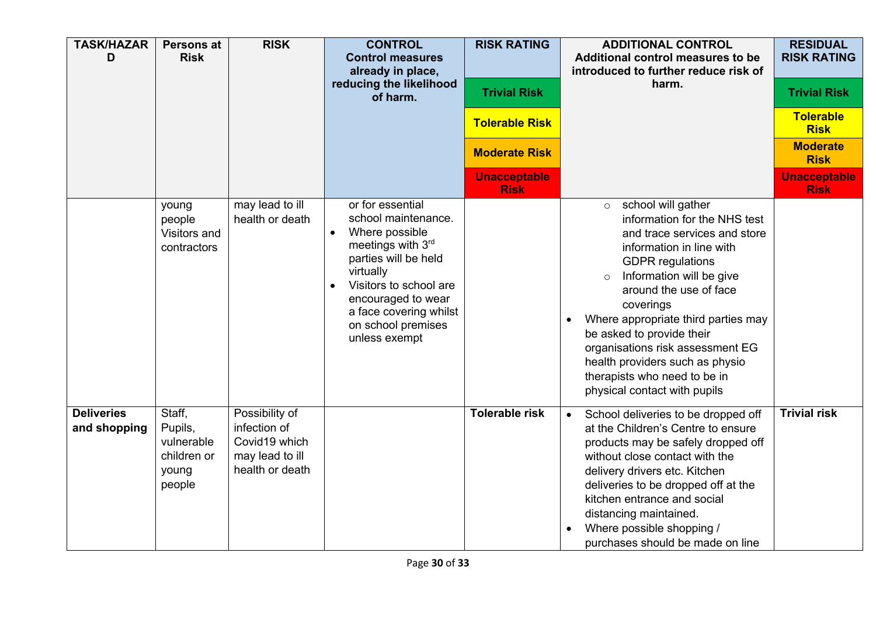| <b>TASK/HAZAR</b><br>D            | <b>Persons at</b><br><b>Risk</b>                                  | <b>RISK</b>                                                                           | <b>CONTROL</b><br><b>Control measures</b><br>already in place,<br>reducing the likelihood<br>of harm.                                                                                                                                                          | <b>RISK RATING</b><br><b>Trivial Risk</b><br><b>Tolerable Risk</b><br><b>Moderate Risk</b><br><b>Unacceptable</b><br><b>Risk</b> | <b>ADDITIONAL CONTROL</b><br>Additional control measures to be<br>introduced to further reduce risk of<br>harm.                                                                                                                                                                                                                                                                                                                                             | <b>RESIDUAL</b><br><b>RISK RATING</b><br><b>Trivial Risk</b><br><b>Tolerable</b><br><b>Risk</b><br><b>Moderate</b><br><b>Risk</b><br><b>Unacceptable</b><br><b>Risk</b> |
|-----------------------------------|-------------------------------------------------------------------|---------------------------------------------------------------------------------------|----------------------------------------------------------------------------------------------------------------------------------------------------------------------------------------------------------------------------------------------------------------|----------------------------------------------------------------------------------------------------------------------------------|-------------------------------------------------------------------------------------------------------------------------------------------------------------------------------------------------------------------------------------------------------------------------------------------------------------------------------------------------------------------------------------------------------------------------------------------------------------|-------------------------------------------------------------------------------------------------------------------------------------------------------------------------|
|                                   | young<br>people<br>Visitors and<br>contractors                    | may lead to ill<br>health or death                                                    | or for essential<br>school maintenance.<br>Where possible<br>$\bullet$<br>meetings with 3rd<br>parties will be held<br>virtually<br>Visitors to school are<br>$\bullet$<br>encouraged to wear<br>a face covering whilst<br>on school premises<br>unless exempt |                                                                                                                                  | school will gather<br>$\circ$<br>information for the NHS test<br>and trace services and store<br>information in line with<br><b>GDPR</b> regulations<br>Information will be give<br>$\Omega$<br>around the use of face<br>coverings<br>Where appropriate third parties may<br>$\bullet$<br>be asked to provide their<br>organisations risk assessment EG<br>health providers such as physio<br>therapists who need to be in<br>physical contact with pupils |                                                                                                                                                                         |
| <b>Deliveries</b><br>and shopping | Staff,<br>Pupils,<br>vulnerable<br>children or<br>young<br>people | Possibility of<br>infection of<br>Covid19 which<br>may lead to ill<br>health or death |                                                                                                                                                                                                                                                                | <b>Tolerable risk</b>                                                                                                            | School deliveries to be dropped off<br>at the Children's Centre to ensure<br>products may be safely dropped off<br>without close contact with the<br>delivery drivers etc. Kitchen<br>deliveries to be dropped off at the<br>kitchen entrance and social<br>distancing maintained.<br>Where possible shopping /<br>purchases should be made on line                                                                                                         | <b>Trivial risk</b>                                                                                                                                                     |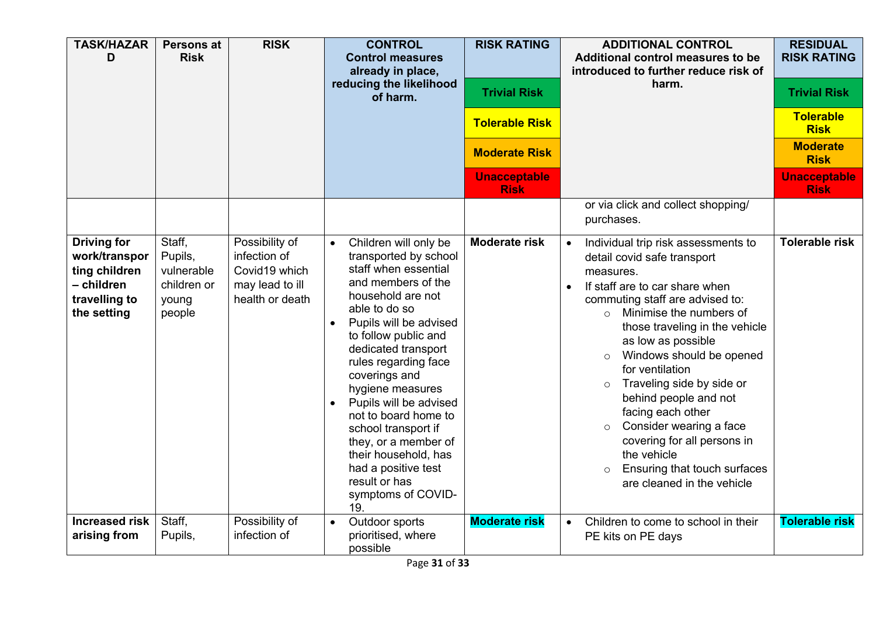| <b>TASK/HAZAR</b><br>D                                                                             | <b>Persons at</b><br><b>Risk</b>                                  | <b>RISK</b>                                                                           | <b>CONTROL</b><br><b>Control measures</b><br>already in place,<br>reducing the likelihood<br>of harm.                                                                                                                                                                                                                                                                                                                                                                                            | <b>RISK RATING</b><br><b>Trivial Risk</b><br><b>Tolerable Risk</b><br><b>Moderate Risk</b><br><b>Unacceptable</b><br><b>Risk</b> | <b>ADDITIONAL CONTROL</b><br>Additional control measures to be<br>introduced to further reduce risk of<br>harm.                                                                                                                                                                                                                                                                                                                                                                                                                                                                | <b>RESIDUAL</b><br><b>RISK RATING</b><br><b>Trivial Risk</b><br><b>Tolerable</b><br><b>Risk</b><br><b>Moderate</b><br><b>Risk</b><br><b>Unacceptable</b><br><b>Risk</b> |
|----------------------------------------------------------------------------------------------------|-------------------------------------------------------------------|---------------------------------------------------------------------------------------|--------------------------------------------------------------------------------------------------------------------------------------------------------------------------------------------------------------------------------------------------------------------------------------------------------------------------------------------------------------------------------------------------------------------------------------------------------------------------------------------------|----------------------------------------------------------------------------------------------------------------------------------|--------------------------------------------------------------------------------------------------------------------------------------------------------------------------------------------------------------------------------------------------------------------------------------------------------------------------------------------------------------------------------------------------------------------------------------------------------------------------------------------------------------------------------------------------------------------------------|-------------------------------------------------------------------------------------------------------------------------------------------------------------------------|
|                                                                                                    |                                                                   |                                                                                       |                                                                                                                                                                                                                                                                                                                                                                                                                                                                                                  |                                                                                                                                  | or via click and collect shopping/<br>purchases.                                                                                                                                                                                                                                                                                                                                                                                                                                                                                                                               |                                                                                                                                                                         |
| <b>Driving for</b><br>work/transpor<br>ting children<br>- children<br>travelling to<br>the setting | Staff,<br>Pupils,<br>vulnerable<br>children or<br>young<br>people | Possibility of<br>infection of<br>Covid19 which<br>may lead to ill<br>health or death | Children will only be<br>$\bullet$<br>transported by school<br>staff when essential<br>and members of the<br>household are not<br>able to do so<br>Pupils will be advised<br>$\bullet$<br>to follow public and<br>dedicated transport<br>rules regarding face<br>coverings and<br>hygiene measures<br>Pupils will be advised<br>not to board home to<br>school transport if<br>they, or a member of<br>their household, has<br>had a positive test<br>result or has<br>symptoms of COVID-<br>19. | <b>Moderate risk</b>                                                                                                             | Individual trip risk assessments to<br>detail covid safe transport<br>measures.<br>If staff are to car share when<br>$\bullet$<br>commuting staff are advised to:<br>Minimise the numbers of<br>$\bigcap$<br>those traveling in the vehicle<br>as low as possible<br>Windows should be opened<br>$\circ$<br>for ventilation<br>Traveling side by side or<br>$\circ$<br>behind people and not<br>facing each other<br>Consider wearing a face<br>$\circ$<br>covering for all persons in<br>the vehicle<br>Ensuring that touch surfaces<br>$\circ$<br>are cleaned in the vehicle | Tolerable risk                                                                                                                                                          |
| <b>Increased risk</b><br>arising from                                                              | Staff,<br>Pupils,                                                 | Possibility of<br>infection of                                                        | Outdoor sports<br>$\bullet$<br>prioritised, where<br>possible                                                                                                                                                                                                                                                                                                                                                                                                                                    | <b>Moderate risk</b>                                                                                                             | Children to come to school in their<br>$\bullet$<br>PE kits on PE days                                                                                                                                                                                                                                                                                                                                                                                                                                                                                                         | <b>Tolerable risk</b>                                                                                                                                                   |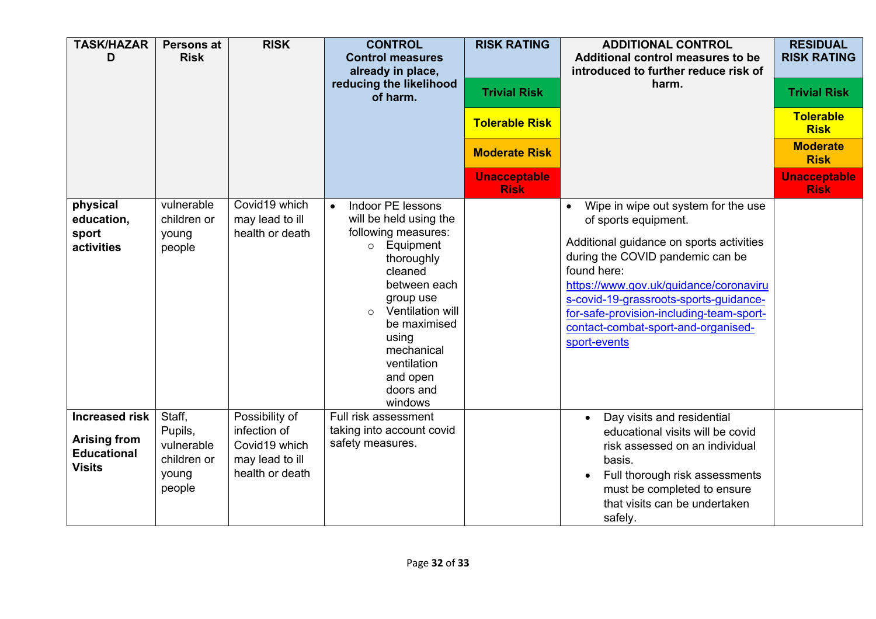| <b>TASK/HAZAR</b><br>D                                                              | <b>Persons at</b><br><b>Risk</b>                                  | <b>RISK</b>                                                                           | <b>CONTROL</b><br><b>Control measures</b><br>already in place,<br>reducing the likelihood<br>of harm.                                                                                                                                                                                   | <b>RISK RATING</b><br><b>Trivial Risk</b><br><b>Tolerable Risk</b><br><b>Moderate Risk</b><br><b>Unacceptable</b> | <b>ADDITIONAL CONTROL</b><br>Additional control measures to be<br>introduced to further reduce risk of<br>harm.                                                                                                                                                                                                                                   | <b>RESIDUAL</b><br><b>RISK RATING</b><br><b>Trivial Risk</b><br><b>Tolerable</b><br><b>Risk</b><br><b>Moderate</b><br><b>Risk</b><br><b>Unacceptable</b> |
|-------------------------------------------------------------------------------------|-------------------------------------------------------------------|---------------------------------------------------------------------------------------|-----------------------------------------------------------------------------------------------------------------------------------------------------------------------------------------------------------------------------------------------------------------------------------------|-------------------------------------------------------------------------------------------------------------------|---------------------------------------------------------------------------------------------------------------------------------------------------------------------------------------------------------------------------------------------------------------------------------------------------------------------------------------------------|----------------------------------------------------------------------------------------------------------------------------------------------------------|
| physical<br>education,<br>sport<br>activities                                       | vulnerable<br>children or<br>young<br>people                      | Covid19 which<br>may lead to ill<br>health or death                                   | Indoor PE lessons<br>$\bullet$<br>will be held using the<br>following measures:<br>Equipment<br>$\circ$<br>thoroughly<br>cleaned<br>between each<br>group use<br>Ventilation will<br>$\Omega$<br>be maximised<br>using<br>mechanical<br>ventilation<br>and open<br>doors and<br>windows | <b>Risk</b>                                                                                                       | Wipe in wipe out system for the use<br>of sports equipment.<br>Additional guidance on sports activities<br>during the COVID pandemic can be<br>found here:<br>https://www.gov.uk/guidance/coronaviru<br>s-covid-19-grassroots-sports-guidance-<br>for-safe-provision-including-team-sport-<br>contact-combat-sport-and-organised-<br>sport-events | <b>Risk</b>                                                                                                                                              |
| <b>Increased risk</b><br><b>Arising from</b><br><b>Educational</b><br><b>Visits</b> | Staff,<br>Pupils,<br>vulnerable<br>children or<br>young<br>people | Possibility of<br>infection of<br>Covid19 which<br>may lead to ill<br>health or death | Full risk assessment<br>taking into account covid<br>safety measures.                                                                                                                                                                                                                   |                                                                                                                   | Day visits and residential<br>educational visits will be covid<br>risk assessed on an individual<br>basis.<br>Full thorough risk assessments<br>must be completed to ensure<br>that visits can be undertaken<br>safely.                                                                                                                           |                                                                                                                                                          |